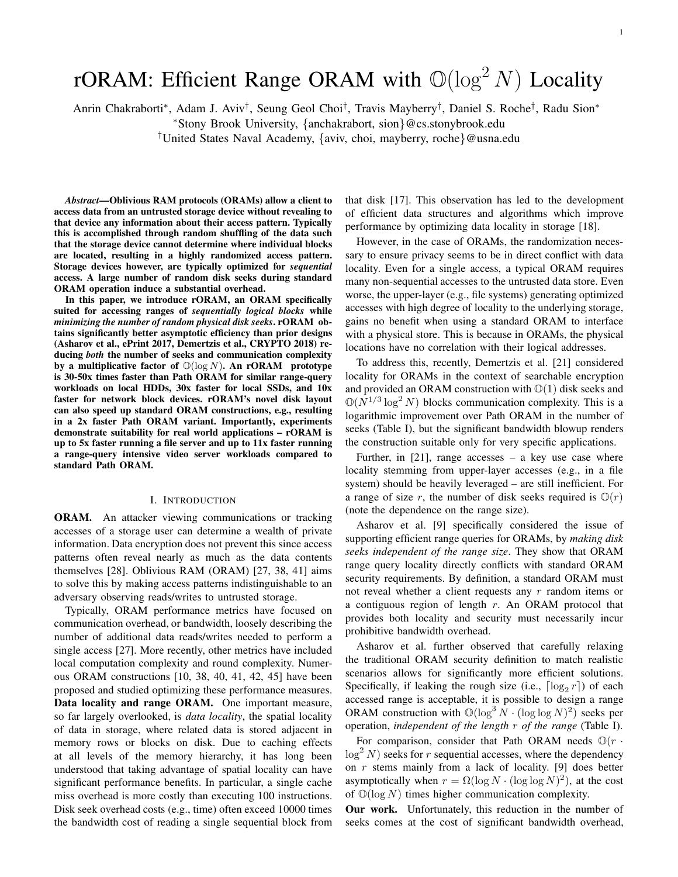# rORAM: Efficient Range ORAM with  $\mathbb{O}(\log^2 N)$  Locality

Anrin Chakraborti<sup>∗</sup> , Adam J. Aviv† , Seung Geol Choi† , Travis Mayberry† , Daniel S. Roche† , Radu Sion<sup>∗</sup>

<sup>∗</sup>Stony Brook University, {anchakrabort, sion}@cs.stonybrook.edu

†United States Naval Academy, {aviv, choi, mayberry, roche}@usna.edu

*Abstract*—Oblivious RAM protocols (ORAMs) allow a client to access data from an untrusted storage device without revealing to that device any information about their access pattern. Typically this is accomplished through random shuffling of the data such that the storage device cannot determine where individual blocks are located, resulting in a highly randomized access pattern. Storage devices however, are typically optimized for *sequential* access. A large number of random disk seeks during standard ORAM operation induce a substantial overhead.

In this paper, we introduce rORAM, an ORAM specifically suited for accessing ranges of *sequentially logical blocks* while *minimizing the number of random physical disk seeks*. rORAM obtains significantly better asymptotic efficiency than prior designs (Asharov et al., ePrint 2017, Demertzis et al., CRYPTO 2018) reducing *both* the number of seeks and communication complexity by a multiplicative factor of  $\mathbb{O}(\log N)$ . An rORAM prototype is 30-50x times faster than Path ORAM for similar range-query workloads on local HDDs, 30x faster for local SSDs, and 10x faster for network block devices. rORAM's novel disk layout can also speed up standard ORAM constructions, e.g., resulting in a 2x faster Path ORAM variant. Importantly, experiments demonstrate suitability for real world applications – rORAM is up to 5x faster running a file server and up to 11x faster running a range-query intensive video server workloads compared to standard Path ORAM.

## I. INTRODUCTION

ORAM. An attacker viewing communications or tracking accesses of a storage user can determine a wealth of private information. Data encryption does not prevent this since access patterns often reveal nearly as much as the data contents themselves [28]. Oblivious RAM (ORAM) [27, 38, 41] aims to solve this by making access patterns indistinguishable to an adversary observing reads/writes to untrusted storage.

Typically, ORAM performance metrics have focused on communication overhead, or bandwidth, loosely describing the number of additional data reads/writes needed to perform a single access [27]. More recently, other metrics have included local computation complexity and round complexity. Numerous ORAM constructions [10, 38, 40, 41, 42, 45] have been proposed and studied optimizing these performance measures. Data locality and range ORAM. One important measure, so far largely overlooked, is *data locality*, the spatial locality of data in storage, where related data is stored adjacent in memory rows or blocks on disk. Due to caching effects at all levels of the memory hierarchy, it has long been understood that taking advantage of spatial locality can have significant performance benefits. In particular, a single cache miss overhead is more costly than executing 100 instructions. Disk seek overhead costs (e.g., time) often exceed 10000 times the bandwidth cost of reading a single sequential block from

that disk [17]. This observation has led to the development of efficient data structures and algorithms which improve performance by optimizing data locality in storage [18].

However, in the case of ORAMs, the randomization necessary to ensure privacy seems to be in direct conflict with data locality. Even for a single access, a typical ORAM requires many non-sequential accesses to the untrusted data store. Even worse, the upper-layer (e.g., file systems) generating optimized accesses with high degree of locality to the underlying storage, gains no benefit when using a standard ORAM to interface with a physical store. This is because in ORAMs, the physical locations have no correlation with their logical addresses.

To address this, recently, Demertzis et al. [21] considered locality for ORAMs in the context of searchable encryption and provided an ORAM construction with  $\mathbb{O}(1)$  disk seeks and  $\mathbb{O}(N^{1/3} \log^2 N)$  blocks communication complexity. This is a logarithmic improvement over Path ORAM in the number of seeks (Table I), but the significant bandwidth blowup renders the construction suitable only for very specific applications.

Further, in  $[21]$ , range accesses – a key use case where locality stemming from upper-layer accesses (e.g., in a file system) should be heavily leveraged – are still inefficient. For a range of size r, the number of disk seeks required is  $\mathbb{O}(r)$ (note the dependence on the range size).

Asharov et al. [9] specifically considered the issue of supporting efficient range queries for ORAMs, by *making disk seeks independent of the range size*. They show that ORAM range query locality directly conflicts with standard ORAM security requirements. By definition, a standard ORAM must not reveal whether a client requests any  $r$  random items or a contiguous region of length  $r$ . An ORAM protocol that provides both locality and security must necessarily incur prohibitive bandwidth overhead.

Asharov et al. further observed that carefully relaxing the traditional ORAM security definition to match realistic scenarios allows for significantly more efficient solutions. Specifically, if leaking the rough size (i.e.,  $\lceil \log_2 r \rceil$ ) of each accessed range is acceptable, it is possible to design a range ORAM construction with  $\mathbb{O}(\log^3 N \cdot (\log \log N)^2)$  seeks per operation, *independent of the length* r *of the range* (Table I).

For comparison, consider that Path ORAM needs  $\mathbb{O}(r \cdot$  $\log^2 N$ ) seeks for r sequential accesses, where the dependency on  $r$  stems mainly from a lack of locality. [9] does better asymptotically when  $r = \Omega(\log N \cdot (\log \log N)^2)$ , at the cost of  $\mathbb{O}(\log N)$  times higher communication complexity.

Our work. Unfortunately, this reduction in the number of seeks comes at the cost of significant bandwidth overhead,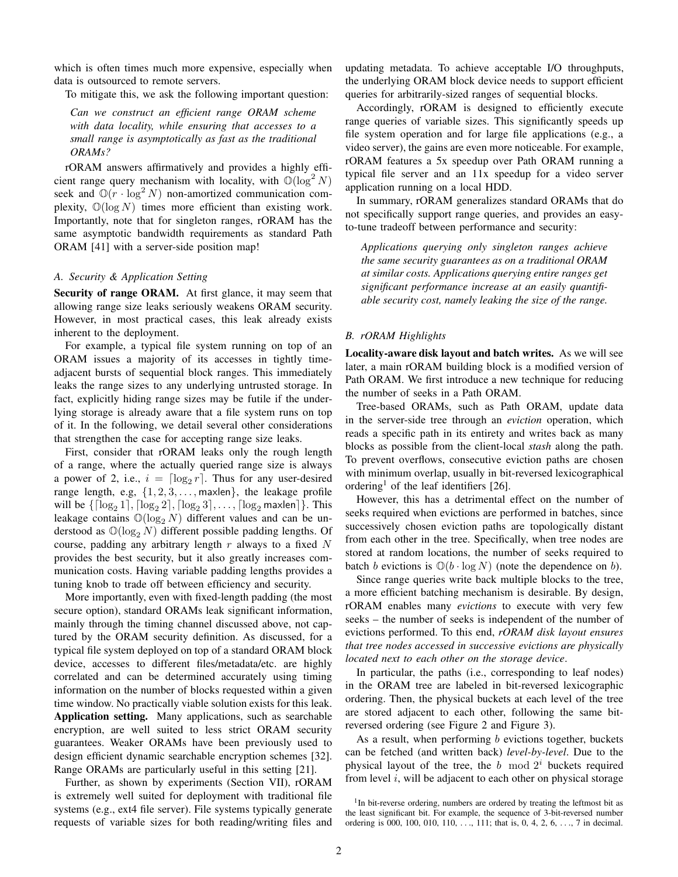which is often times much more expensive, especially when data is outsourced to remote servers.

To mitigate this, we ask the following important question:

*Can we construct an efficient range ORAM scheme with data locality, while ensuring that accesses to a small range is asymptotically as fast as the traditional ORAMs?*

rORAM answers affirmatively and provides a highly efficient range query mechanism with locality, with  $\mathbb{O}(\log^2 N)$ seek and  $\mathbb{O}(r \cdot \log^2 N)$  non-amortized communication complexity,  $\mathbb{O}(\log N)$  times more efficient than existing work. Importantly, note that for singleton ranges, rORAM has the same asymptotic bandwidth requirements as standard Path ORAM [41] with a server-side position map!

# *A. Security & Application Setting*

Security of range ORAM. At first glance, it may seem that allowing range size leaks seriously weakens ORAM security. However, in most practical cases, this leak already exists inherent to the deployment.

For example, a typical file system running on top of an ORAM issues a majority of its accesses in tightly timeadjacent bursts of sequential block ranges. This immediately leaks the range sizes to any underlying untrusted storage. In fact, explicitly hiding range sizes may be futile if the underlying storage is already aware that a file system runs on top of it. In the following, we detail several other considerations that strengthen the case for accepting range size leaks.

First, consider that rORAM leaks only the rough length of a range, where the actually queried range size is always a power of 2, i.e.,  $i = \lceil \log_2 r \rceil$ . Thus for any user-desired range length, e.g,  $\{1, 2, 3, \ldots,$  maxlen}, the leakage profile will be  $\{ \lceil \log_2 1 \rceil, \lceil \log_2 2 \rceil, \lceil \log_2 3 \rceil, \ldots, \lceil \log_2 \mathsf{maxlen} \rceil \}.$  This leakage contains  $\mathbb{O}(\log_2 N)$  different values and can be understood as  $\mathbb{O}(\log_2 N)$  different possible padding lengths. Of course, padding any arbitrary length  $r$  always to a fixed  $N$ provides the best security, but it also greatly increases communication costs. Having variable padding lengths provides a tuning knob to trade off between efficiency and security.

More importantly, even with fixed-length padding (the most secure option), standard ORAMs leak significant information, mainly through the timing channel discussed above, not captured by the ORAM security definition. As discussed, for a typical file system deployed on top of a standard ORAM block device, accesses to different files/metadata/etc. are highly correlated and can be determined accurately using timing information on the number of blocks requested within a given time window. No practically viable solution exists for this leak. Application setting. Many applications, such as searchable encryption, are well suited to less strict ORAM security guarantees. Weaker ORAMs have been previously used to design efficient dynamic searchable encryption schemes [32]. Range ORAMs are particularly useful in this setting [21].

Further, as shown by experiments (Section VII), rORAM is extremely well suited for deployment with traditional file systems (e.g., ext4 file server). File systems typically generate requests of variable sizes for both reading/writing files and updating metadata. To achieve acceptable I/O throughputs, the underlying ORAM block device needs to support efficient queries for arbitrarily-sized ranges of sequential blocks.

Accordingly, rORAM is designed to efficiently execute range queries of variable sizes. This significantly speeds up file system operation and for large file applications (e.g., a video server), the gains are even more noticeable. For example, rORAM features a 5x speedup over Path ORAM running a typical file server and an 11x speedup for a video server application running on a local HDD.

In summary, rORAM generalizes standard ORAMs that do not specifically support range queries, and provides an easyto-tune tradeoff between performance and security:

*Applications querying only singleton ranges achieve the same security guarantees as on a traditional ORAM at similar costs. Applications querying entire ranges get significant performance increase at an easily quantifiable security cost, namely leaking the size of the range.*

#### *B. rORAM Highlights*

Locality-aware disk layout and batch writes. As we will see later, a main rORAM building block is a modified version of Path ORAM. We first introduce a new technique for reducing the number of seeks in a Path ORAM.

Tree-based ORAMs, such as Path ORAM, update data in the server-side tree through an *eviction* operation, which reads a specific path in its entirety and writes back as many blocks as possible from the client-local *stash* along the path. To prevent overflows, consecutive eviction paths are chosen with minimum overlap, usually in bit-reversed lexicographical ordering<sup>1</sup> of the leaf identifiers [26].

However, this has a detrimental effect on the number of seeks required when evictions are performed in batches, since successively chosen eviction paths are topologically distant from each other in the tree. Specifically, when tree nodes are stored at random locations, the number of seeks required to batch b evictions is  $\mathbb{O}(b \cdot \log N)$  (note the dependence on b).

Since range queries write back multiple blocks to the tree, a more efficient batching mechanism is desirable. By design, rORAM enables many *evictions* to execute with very few seeks – the number of seeks is independent of the number of evictions performed. To this end, *rORAM disk layout ensures that tree nodes accessed in successive evictions are physically located next to each other on the storage device*.

In particular, the paths (i.e., corresponding to leaf nodes) in the ORAM tree are labeled in bit-reversed lexicographic ordering. Then, the physical buckets at each level of the tree are stored adjacent to each other, following the same bitreversed ordering (see Figure 2 and Figure 3).

As a result, when performing  $b$  evictions together, buckets can be fetched (and written back) *level-by-level*. Due to the physical layout of the tree, the b mod  $2<sup>i</sup>$  buckets required from level  $i$ , will be adjacent to each other on physical storage

<sup>&</sup>lt;sup>1</sup>In bit-reverse ordering, numbers are ordered by treating the leftmost bit as the least significant bit. For example, the sequence of 3-bit-reversed number ordering is 000, 100, 010, 110, . . ., 111; that is, 0, 4, 2, 6, . . ., 7 in decimal.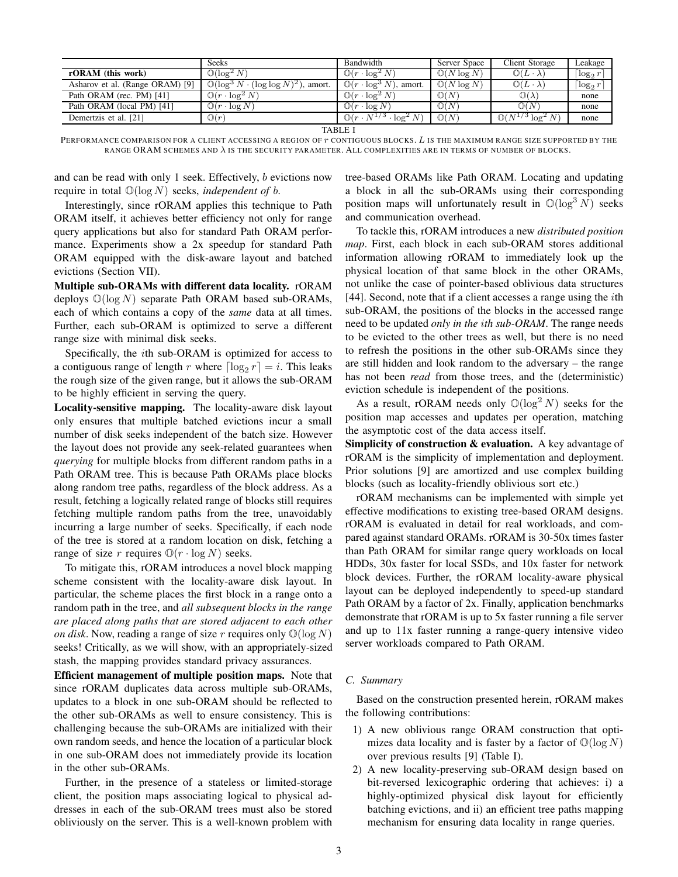|                                 | <b>Seeks</b>                                              | Bandwidth                                              | Server Space           | Client Storage                 | Leakage                  |
|---------------------------------|-----------------------------------------------------------|--------------------------------------------------------|------------------------|--------------------------------|--------------------------|
| rORAM (this work)               | $\mathbb{O}(\log^2 N)$                                    | $\mathbb{O}(r\cdot \log^2 N)$                          | $\mathbb{O}(N \log N)$ | $\mathbb{O}(L \cdot \lambda)$  | $\log_2 r$               |
| Asharov et al. (Range ORAM) [9] | $\mathbb{O}(\log^3 N \cdot (\log \log N)^2)$<br>), amort. | $\mathbb{O}(r \cdot \log^3 N)$ ,<br>. amort.           | $\mathbb{O}(N \log N)$ | $\mathbb{O}(L\cdot\lambda)$    | $\lceil \log_2 r \rceil$ |
| Path ORAM (rec. PM) [41]        | $\mathbb{O}(r \cdot \log^2 N)$                            | $\cdot \log^2 N$<br>$\mathbb{J}(r)$                    | $\mathbb{O}(N)$        | $\mathbb{O}(\lambda)$          | none                     |
| Path ORAM (local PM) [41]       | $\mathbb{O}(r \cdot \log N)$                              | $\cdot \log N$<br>$\Box$ ) ( $r$                       | $\mathbb{O}(N)$        | $\mathbb{O}(N)$                | none                     |
| Demertzis et al. [21]           | $\mathbb{O}(r)$                                           | $\mathcal{D}(r \cdot N^{1/3}$ .<br>$\cdot \log^2$<br>N | $\mathbb{O}(N)$        | $\mathbb{O}(N^{1/3} \log^2 N)$ | none                     |

TABLE I

PERFORMANCE COMPARISON FOR A CLIENT ACCESSING A REGION OF r CONTIGUOUS BLOCKS. L IS THE MAXIMUM RANGE SIZE SUPPORTED BY THE RANGE ORAM SCHEMES AND λ IS THE SECURITY PARAMETER. ALL COMPLEXITIES ARE IN TERMS OF NUMBER OF BLOCKS.

and can be read with only 1 seek. Effectively, b evictions now require in total  $\mathbb{O}(\log N)$  seeks, *independent of b*.

Interestingly, since rORAM applies this technique to Path ORAM itself, it achieves better efficiency not only for range query applications but also for standard Path ORAM performance. Experiments show a 2x speedup for standard Path ORAM equipped with the disk-aware layout and batched evictions (Section VII).

Multiple sub-ORAMs with different data locality. rORAM deploys  $\mathbb{O}(\log N)$  separate Path ORAM based sub-ORAMs, each of which contains a copy of the *same* data at all times. Further, each sub-ORAM is optimized to serve a different range size with minimal disk seeks.

Specifically, the ith sub-ORAM is optimized for access to a contiguous range of length r where  $\lceil \log_2 r \rceil = i$ . This leaks the rough size of the given range, but it allows the sub-ORAM to be highly efficient in serving the query.

Locality-sensitive mapping. The locality-aware disk layout only ensures that multiple batched evictions incur a small number of disk seeks independent of the batch size. However the layout does not provide any seek-related guarantees when *querying* for multiple blocks from different random paths in a Path ORAM tree. This is because Path ORAMs place blocks along random tree paths, regardless of the block address. As a result, fetching a logically related range of blocks still requires fetching multiple random paths from the tree, unavoidably incurring a large number of seeks. Specifically, if each node of the tree is stored at a random location on disk, fetching a range of size r requires  $\mathbb{O}(r \cdot \log N)$  seeks.

To mitigate this, rORAM introduces a novel block mapping scheme consistent with the locality-aware disk layout. In particular, the scheme places the first block in a range onto a random path in the tree, and *all subsequent blocks in the range are placed along paths that are stored adjacent to each other on disk*. Now, reading a range of size r requires only  $\mathbb{O}(\log N)$ seeks! Critically, as we will show, with an appropriately-sized stash, the mapping provides standard privacy assurances.

Efficient management of multiple position maps. Note that since rORAM duplicates data across multiple sub-ORAMs, updates to a block in one sub-ORAM should be reflected to the other sub-ORAMs as well to ensure consistency. This is challenging because the sub-ORAMs are initialized with their own random seeds, and hence the location of a particular block in one sub-ORAM does not immediately provide its location in the other sub-ORAMs.

Further, in the presence of a stateless or limited-storage client, the position maps associating logical to physical addresses in each of the sub-ORAM trees must also be stored obliviously on the server. This is a well-known problem with tree-based ORAMs like Path ORAM. Locating and updating a block in all the sub-ORAMs using their corresponding position maps will unfortunately result in  $\mathbb{O}(\log^3 N)$  seeks and communication overhead.

To tackle this, rORAM introduces a new *distributed position map*. First, each block in each sub-ORAM stores additional information allowing rORAM to immediately look up the physical location of that same block in the other ORAMs, not unlike the case of pointer-based oblivious data structures [44]. Second, note that if a client accesses a range using the *i*th sub-ORAM, the positions of the blocks in the accessed range need to be updated *only in the* i*th sub-ORAM*. The range needs to be evicted to the other trees as well, but there is no need to refresh the positions in the other sub-ORAMs since they are still hidden and look random to the adversary – the range has not been *read* from those trees, and the (deterministic) eviction schedule is independent of the positions.

As a result, rORAM needs only  $\mathbb{O}(\log^2 N)$  seeks for the position map accesses and updates per operation, matching the asymptotic cost of the data access itself.

Simplicity of construction & evaluation. A key advantage of rORAM is the simplicity of implementation and deployment. Prior solutions [9] are amortized and use complex building blocks (such as locality-friendly oblivious sort etc.)

rORAM mechanisms can be implemented with simple yet effective modifications to existing tree-based ORAM designs. rORAM is evaluated in detail for real workloads, and compared against standard ORAMs. rORAM is 30-50x times faster than Path ORAM for similar range query workloads on local HDDs, 30x faster for local SSDs, and 10x faster for network block devices. Further, the rORAM locality-aware physical layout can be deployed independently to speed-up standard Path ORAM by a factor of 2x. Finally, application benchmarks demonstrate that rORAM is up to 5x faster running a file server and up to 11x faster running a range-query intensive video server workloads compared to Path ORAM.

# *C. Summary*

Based on the construction presented herein, rORAM makes the following contributions:

- 1) A new oblivious range ORAM construction that optimizes data locality and is faster by a factor of  $\mathbb{O}(\log N)$ over previous results [9] (Table I).
- 2) A new locality-preserving sub-ORAM design based on bit-reversed lexicographic ordering that achieves: i) a highly-optimized physical disk layout for efficiently batching evictions, and ii) an efficient tree paths mapping mechanism for ensuring data locality in range queries.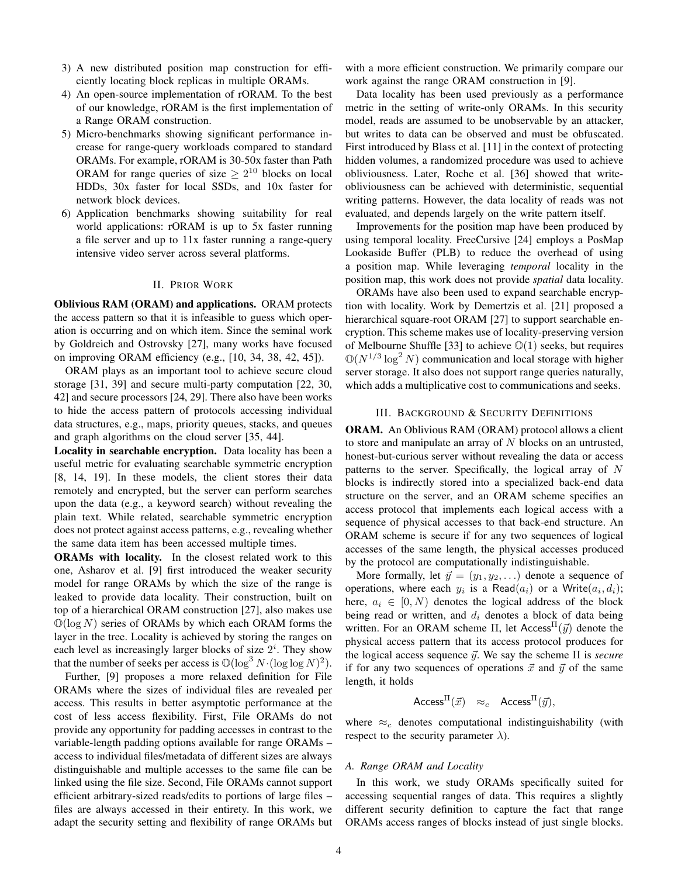- 3) A new distributed position map construction for efficiently locating block replicas in multiple ORAMs.
- 4) An open-source implementation of rORAM. To the best of our knowledge, rORAM is the first implementation of a Range ORAM construction.
- 5) Micro-benchmarks showing significant performance increase for range-query workloads compared to standard ORAMs. For example, rORAM is 30-50x faster than Path ORAM for range queries of size  $\geq 2^{10}$  blocks on local HDDs, 30x faster for local SSDs, and 10x faster for network block devices.
- 6) Application benchmarks showing suitability for real world applications: rORAM is up to 5x faster running a file server and up to 11x faster running a range-query intensive video server across several platforms.

#### II. PRIOR WORK

Oblivious RAM (ORAM) and applications. ORAM protects the access pattern so that it is infeasible to guess which operation is occurring and on which item. Since the seminal work by Goldreich and Ostrovsky [27], many works have focused on improving ORAM efficiency (e.g., [10, 34, 38, 42, 45]).

ORAM plays as an important tool to achieve secure cloud storage [31, 39] and secure multi-party computation [22, 30, 42] and secure processors [24, 29]. There also have been works to hide the access pattern of protocols accessing individual data structures, e.g., maps, priority queues, stacks, and queues and graph algorithms on the cloud server [35, 44].

Locality in searchable encryption. Data locality has been a useful metric for evaluating searchable symmetric encryption [8, 14, 19]. In these models, the client stores their data remotely and encrypted, but the server can perform searches upon the data (e.g., a keyword search) without revealing the plain text. While related, searchable symmetric encryption does not protect against access patterns, e.g., revealing whether the same data item has been accessed multiple times.

ORAMs with locality. In the closest related work to this one, Asharov et al. [9] first introduced the weaker security model for range ORAMs by which the size of the range is leaked to provide data locality. Their construction, built on top of a hierarchical ORAM construction [27], also makes use  $\mathbb{O}(\log N)$  series of ORAMs by which each ORAM forms the layer in the tree. Locality is achieved by storing the ranges on each level as increasingly larger blocks of size  $2^i$ . They show that the number of seeks per access is  $\mathbb{O}(\log^3 N \cdot (\log \log N)^2)$ .

Further, [9] proposes a more relaxed definition for File ORAMs where the sizes of individual files are revealed per access. This results in better asymptotic performance at the cost of less access flexibility. First, File ORAMs do not provide any opportunity for padding accesses in contrast to the variable-length padding options available for range ORAMs – access to individual files/metadata of different sizes are always distinguishable and multiple accesses to the same file can be linked using the file size. Second, File ORAMs cannot support efficient arbitrary-sized reads/edits to portions of large files – files are always accessed in their entirety. In this work, we adapt the security setting and flexibility of range ORAMs but with a more efficient construction. We primarily compare our work against the range ORAM construction in [9].

Data locality has been used previously as a performance metric in the setting of write-only ORAMs. In this security model, reads are assumed to be unobservable by an attacker, but writes to data can be observed and must be obfuscated. First introduced by Blass et al. [11] in the context of protecting hidden volumes, a randomized procedure was used to achieve obliviousness. Later, Roche et al. [36] showed that writeobliviousness can be achieved with deterministic, sequential writing patterns. However, the data locality of reads was not evaluated, and depends largely on the write pattern itself.

Improvements for the position map have been produced by using temporal locality. FreeCursive [24] employs a PosMap Lookaside Buffer (PLB) to reduce the overhead of using a position map. While leveraging *temporal* locality in the position map, this work does not provide *spatial* data locality.

ORAMs have also been used to expand searchable encryption with locality. Work by Demertzis et al. [21] proposed a hierarchical square-root ORAM [27] to support searchable encryption. This scheme makes use of locality-preserving version of Melbourne Shuffle [33] to achieve  $\mathbb{O}(1)$  seeks, but requires  $\mathbb{O}(N^{1/3} \log^2 N)$  communication and local storage with higher server storage. It also does not support range queries naturally, which adds a multiplicative cost to communications and seeks.

## III. BACKGROUND & SECURITY DEFINITIONS

ORAM. An Oblivious RAM (ORAM) protocol allows a client to store and manipulate an array of  $N$  blocks on an untrusted, honest-but-curious server without revealing the data or access patterns to the server. Specifically, the logical array of  $N$ blocks is indirectly stored into a specialized back-end data structure on the server, and an ORAM scheme specifies an access protocol that implements each logical access with a sequence of physical accesses to that back-end structure. An ORAM scheme is secure if for any two sequences of logical accesses of the same length, the physical accesses produced by the protocol are computationally indistinguishable.

More formally, let  $\vec{y} = (y_1, y_2, ...)$  denote a sequence of operations, where each  $y_i$  is a Read $(a_i)$  or a Write $(a_i, d_i)$ ; here,  $a_i \in [0, N)$  denotes the logical address of the block being read or written, and  $d_i$  denotes a block of data being written. For an ORAM scheme  $\Pi$ , let Access  $\Pi(\vec{y})$  denote the physical access pattern that its access protocol produces for the logical access sequence  $\vec{y}$ . We say the scheme  $\Pi$  is *secure* if for any two sequences of operations  $\vec{x}$  and  $\vec{y}$  of the same length, it holds

$$
Access^{\Pi}(\vec{x}) \approx_c \text{Access}^{\Pi}(\vec{y}),
$$

where  $\approx_c$  denotes computational indistinguishability (with respect to the security parameter  $\lambda$ ).

#### *A. Range ORAM and Locality*

In this work, we study ORAMs specifically suited for accessing sequential ranges of data. This requires a slightly different security definition to capture the fact that range ORAMs access ranges of blocks instead of just single blocks.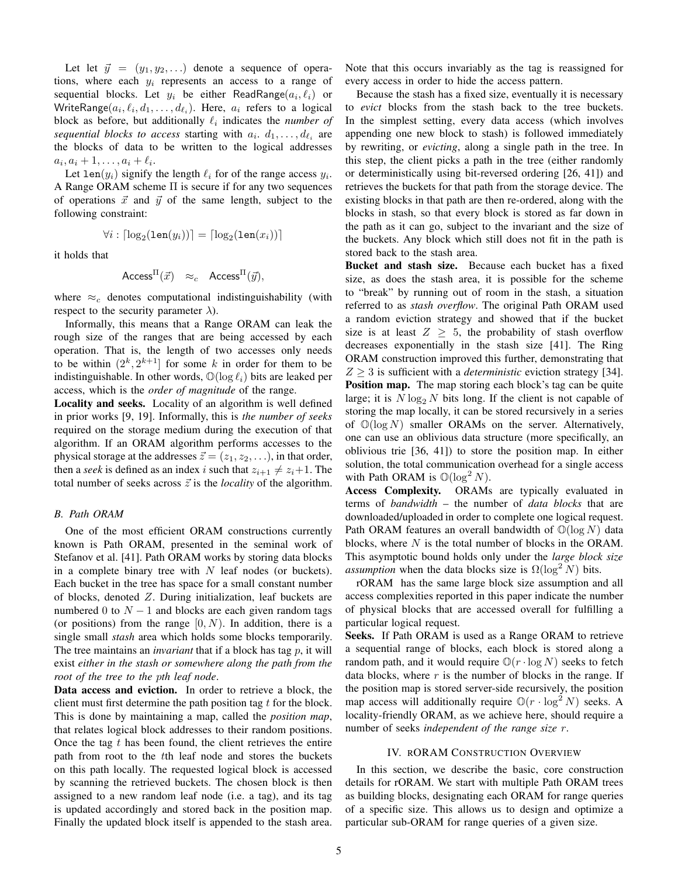Let let  $\vec{y} = (y_1, y_2, ...)$  denote a sequence of operations, where each  $y_i$  represents an access to a range of sequential blocks. Let  $y_i$  be either ReadRange $(a_i, \ell_i)$  or WriteRange $(a_i, \ell_i, d_1, \ldots, d_{\ell_i})$ . Here,  $a_i$  refers to a logical block as before, but additionally  $\ell_i$  indicates the *number of sequential blocks to access starting with*  $a_i$ *.*  $d_1$ , ...,  $d_{\ell_i}$  are the blocks of data to be written to the logical addresses  $a_i, a_i + 1, \ldots, a_i + \ell_i.$ 

Let len( $y_i$ ) signify the length  $\ell_i$  for of the range access  $y_i$ . A Range ORAM scheme  $\Pi$  is secure if for any two sequences of operations  $\vec{x}$  and  $\vec{y}$  of the same length, subject to the following constraint:

$$
\forall i: \lceil \log_2(\texttt{len}(y_i)) \rceil = \lceil \log_2(\texttt{len}(x_i)) \rceil
$$

it holds that

$$
\mathsf{Access}^{\Pi}(\vec{x}) \approx_c \mathsf{Access}^{\Pi}(\vec{y}),
$$

where  $\approx_c$  denotes computational indistinguishability (with respect to the security parameter  $\lambda$ ).

Informally, this means that a Range ORAM can leak the rough size of the ranges that are being accessed by each operation. That is, the length of two accesses only needs to be within  $(2^k, 2^{k+1}]$  for some k in order for them to be indistinguishable. In other words,  $\mathbb{O}(\log \ell_i)$  bits are leaked per access, which is the *order of magnitude* of the range.

Locality and seeks. Locality of an algorithm is well defined in prior works [9, 19]. Informally, this is *the number of seeks* required on the storage medium during the execution of that algorithm. If an ORAM algorithm performs accesses to the physical storage at the addresses  $\vec{z} = (z_1, z_2, \ldots)$ , in that order, then a *seek* is defined as an index i such that  $z_{i+1} \neq z_i+1$ . The total number of seeks across  $\vec{z}$  is the *locality* of the algorithm.

#### *B. Path ORAM*

One of the most efficient ORAM constructions currently known is Path ORAM, presented in the seminal work of Stefanov et al. [41]. Path ORAM works by storing data blocks in a complete binary tree with  $N$  leaf nodes (or buckets). Each bucket in the tree has space for a small constant number of blocks, denoted Z. During initialization, leaf buckets are numbered 0 to  $N - 1$  and blocks are each given random tags (or positions) from the range  $[0, N)$ . In addition, there is a single small *stash* area which holds some blocks temporarily. The tree maintains an *invariant* that if a block has tag p, it will exist *either in the stash or somewhere along the path from the root of the tree to the* p*th leaf node*.

Data access and eviction. In order to retrieve a block, the client must first determine the path position tag  $t$  for the block. This is done by maintaining a map, called the *position map*, that relates logical block addresses to their random positions. Once the tag  $t$  has been found, the client retrieves the entire path from root to the tth leaf node and stores the buckets on this path locally. The requested logical block is accessed by scanning the retrieved buckets. The chosen block is then assigned to a new random leaf node (i.e. a tag), and its tag is updated accordingly and stored back in the position map. Finally the updated block itself is appended to the stash area. Note that this occurs invariably as the tag is reassigned for every access in order to hide the access pattern.

Because the stash has a fixed size, eventually it is necessary to *evict* blocks from the stash back to the tree buckets. In the simplest setting, every data access (which involves appending one new block to stash) is followed immediately by rewriting, or *evicting*, along a single path in the tree. In this step, the client picks a path in the tree (either randomly or deterministically using bit-reversed ordering [26, 41]) and retrieves the buckets for that path from the storage device. The existing blocks in that path are then re-ordered, along with the blocks in stash, so that every block is stored as far down in the path as it can go, subject to the invariant and the size of the buckets. Any block which still does not fit in the path is stored back to the stash area.

Bucket and stash size. Because each bucket has a fixed size, as does the stash area, it is possible for the scheme to "break" by running out of room in the stash, a situation referred to as *stash overflow*. The original Path ORAM used a random eviction strategy and showed that if the bucket size is at least  $Z \geq 5$ , the probability of stash overflow decreases exponentially in the stash size [41]. The Ring ORAM construction improved this further, demonstrating that  $Z > 3$  is sufficient with a *deterministic* eviction strategy [34]. **Position map.** The map storing each block's tag can be quite large; it is  $N \log_2 N$  bits long. If the client is not capable of storing the map locally, it can be stored recursively in a series of  $\mathbb{O}(\log N)$  smaller ORAMs on the server. Alternatively, one can use an oblivious data structure (more specifically, an oblivious trie [36, 41]) to store the position map. In either solution, the total communication overhead for a single access with Path ORAM is  $\mathbb{O}(\log^2 N)$ .

Access Complexity. ORAMs are typically evaluated in terms of *bandwidth* – the number of *data blocks* that are downloaded/uploaded in order to complete one logical request. Path ORAM features an overall bandwidth of  $\mathbb{O}(\log N)$  data blocks, where N is the total number of blocks in the ORAM. This asymptotic bound holds only under the *large block size assumption* when the data blocks size is  $\Omega(\log^2 N)$  bits.

rORAM has the same large block size assumption and all access complexities reported in this paper indicate the number of physical blocks that are accessed overall for fulfilling a particular logical request.

Seeks. If Path ORAM is used as a Range ORAM to retrieve a sequential range of blocks, each block is stored along a random path, and it would require  $\mathbb{O}(r \cdot \log N)$  seeks to fetch data blocks, where  $r$  is the number of blocks in the range. If the position map is stored server-side recursively, the position map access will additionally require  $\mathbb{O}(r \cdot \log^2 N)$  seeks. A locality-friendly ORAM, as we achieve here, should require a number of seeks *independent of the range size* r.

#### IV. RORAM CONSTRUCTION OVERVIEW

In this section, we describe the basic, core construction details for rORAM. We start with multiple Path ORAM trees as building blocks, designating each ORAM for range queries of a specific size. This allows us to design and optimize a particular sub-ORAM for range queries of a given size.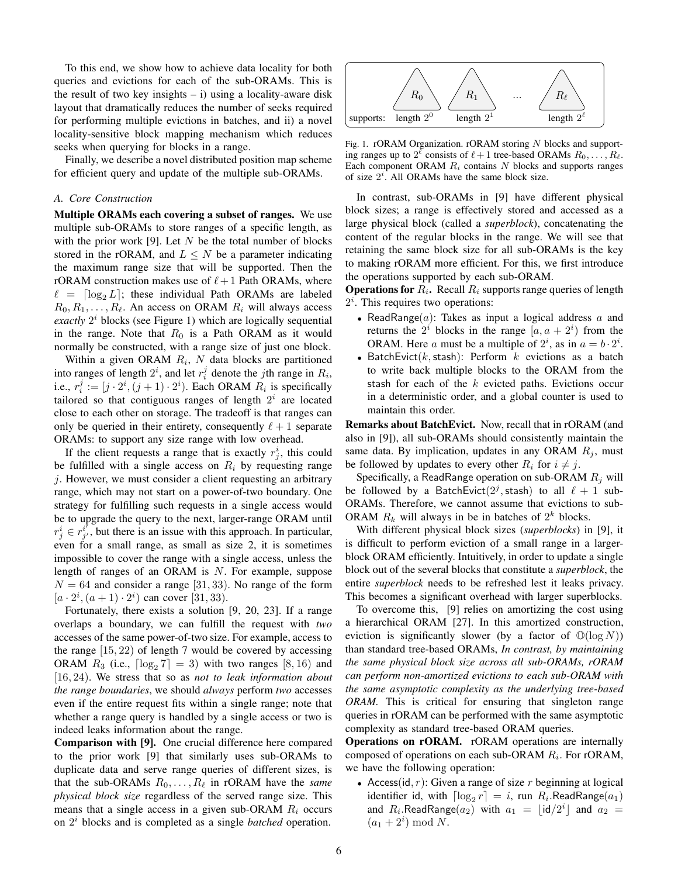To this end, we show how to achieve data locality for both queries and evictions for each of the sub-ORAMs. This is the result of two key insights  $- i$ ) using a locality-aware disk layout that dramatically reduces the number of seeks required for performing multiple evictions in batches, and ii) a novel locality-sensitive block mapping mechanism which reduces seeks when querying for blocks in a range.

Finally, we describe a novel distributed position map scheme for efficient query and update of the multiple sub-ORAMs.

#### *A. Core Construction*

Multiple ORAMs each covering a subset of ranges. We use multiple sub-ORAMs to store ranges of a specific length, as with the prior work [9]. Let  $N$  be the total number of blocks stored in the rORAM, and  $L \leq N$  be a parameter indicating the maximum range size that will be supported. Then the rORAM construction makes use of  $\ell + 1$  Path ORAMs, where  $\ell = \lceil \log_2 L \rceil$ ; these individual Path ORAMs are labeled  $R_0, R_1, \ldots, R_\ell$ . An access on ORAM  $R_i$  will always access *exactly*  $2<sup>i</sup>$  blocks (see Figure 1) which are logically sequential in the range. Note that  $R_0$  is a Path ORAM as it would normally be constructed, with a range size of just one block.

Within a given ORAM  $R_i$ , N data blocks are partitioned into ranges of length  $2^i$ , and let  $r_i^j$  denote the *j*th range in  $R_i$ , i.e.,  $r_i^j := [j \cdot 2^i, (j+1) \cdot 2^i)$ . Each ORAM  $R_i$  is specifically tailored so that contiguous ranges of length  $2<sup>i</sup>$  are located close to each other on storage. The tradeoff is that ranges can only be queried in their entirety, consequently  $\ell + 1$  separate ORAMs: to support any size range with low overhead.

If the client requests a range that is exactly  $r_j^i$ , this could be fulfilled with a single access on  $R_i$  by requesting range j. However, we must consider a client requesting an arbitrary range, which may not start on a power-of-two boundary. One strategy for fulfilling such requests in a single access would be to upgrade the query to the next, larger-range ORAM until  $r^i_j \in r^{i'}_{j'}$  $j<sub>j</sub>'$ , but there is an issue with this approach. In particular, even for a small range, as small as size 2, it is sometimes impossible to cover the range with a single access, unless the length of ranges of an ORAM is  $N$ . For example, suppose  $N = 64$  and consider a range [31, 33). No range of the form  $[a \cdot 2^i, (a+1) \cdot 2^i)$  can cover [31, 33).

Fortunately, there exists a solution [9, 20, 23]. If a range overlaps a boundary, we can fulfill the request with *two* accesses of the same power-of-two size. For example, access to the range  $[15, 22)$  of length 7 would be covered by accessing ORAM  $R_3$  (i.e.,  $\lceil \log_2 7 \rceil = 3$ ) with two ranges [8, 16) and [16, 24). We stress that so as *not to leak information about the range boundaries*, we should *always* perform *two* accesses even if the entire request fits within a single range; note that whether a range query is handled by a single access or two is indeed leaks information about the range.

Comparison with [9]. One crucial difference here compared to the prior work [9] that similarly uses sub-ORAMs to duplicate data and serve range queries of different sizes, is that the sub-ORAMs  $R_0, \ldots, R_\ell$  in rORAM have the *same physical block size* regardless of the served range size. This means that a single access in a given sub-ORAM  $R_i$  occurs on 2 <sup>i</sup> blocks and is completed as a single *batched* operation.



Fig. 1. rORAM Organization. rORAM storing  $N$  blocks and supporting ranges up to  $2^{\ell}$  consists of  $\ell+1$  tree-based ORAMs  $R_0, \ldots, R_{\ell}$ . Each component ORAM  $R_i$  contains N blocks and supports ranges of size  $2^i$ . All ORAMs have the same block size.

In contrast, sub-ORAMs in [9] have different physical block sizes; a range is effectively stored and accessed as a large physical block (called a *superblock*), concatenating the content of the regular blocks in the range. We will see that retaining the same block size for all sub-ORAMs is the key to making rORAM more efficient. For this, we first introduce the operations supported by each sub-ORAM.

**Operations for**  $R_i$ . Recall  $R_i$  supports range queries of length  $2<sup>i</sup>$ . This requires two operations:

- ReadRange $(a)$ : Takes as input a logical address a and returns the  $2^i$  blocks in the range  $[a, a + 2^i)$  from the ORAM. Here a must be a multiple of  $2^i$ , as in  $a = b \cdot 2^i$ .
- BatchEvict(k, stash): Perform  $k$  evictions as a batch to write back multiple blocks to the ORAM from the stash for each of the  $k$  evicted paths. Evictions occur in a deterministic order, and a global counter is used to maintain this order.

Remarks about BatchEvict. Now, recall that in rORAM (and also in [9]), all sub-ORAMs should consistently maintain the same data. By implication, updates in any ORAM  $R_i$ , must be followed by updates to every other  $R_i$  for  $i \neq j$ .

Specifically, a ReadRange operation on sub-ORAM  $R_j$  will be followed by a BatchEvict $(2^j,$ stash) to all  $\ell + 1$  sub-ORAMs. Therefore, we cannot assume that evictions to sub-ORAM  $R_k$  will always in be in batches of  $2^k$  blocks.

With different physical block sizes (*superblocks*) in [9], it is difficult to perform eviction of a small range in a largerblock ORAM efficiently. Intuitively, in order to update a single block out of the several blocks that constitute a *superblock*, the entire *superblock* needs to be refreshed lest it leaks privacy. This becomes a significant overhead with larger superblocks.

To overcome this, [9] relies on amortizing the cost using a hierarchical ORAM [27]. In this amortized construction, eviction is significantly slower (by a factor of  $\mathbb{O}(\log N)$ ) than standard tree-based ORAMs, *In contrast, by maintaining the same physical block size across all sub-ORAMs, rORAM can perform non-amortized evictions to each sub-ORAM with the same asymptotic complexity as the underlying tree-based ORAM.* This is critical for ensuring that singleton range queries in rORAM can be performed with the same asymptotic complexity as standard tree-based ORAM queries.

Operations on rORAM. rORAM operations are internally composed of operations on each sub-ORAM  $R_i$ . For rORAM, we have the following operation:

• Access(id, r): Given a range of size r beginning at logical identifier id, with  $\lceil \log_2 r \rceil = i$ , run  $R_i$ .ReadRange $(a_1)$ and  $R_i$ . ReadRange $(a_2)$  with  $a_1 = \lfloor id/2^i \rfloor$  and  $a_2 =$  $(a_1+2^i) \bmod N$ .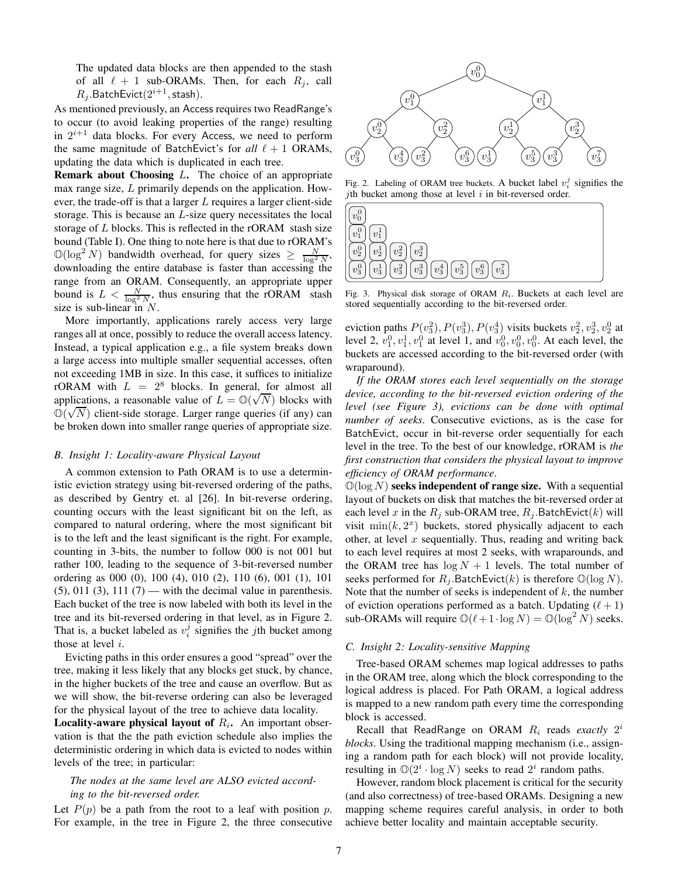The updated data blocks are then appended to the stash of all  $\ell + 1$  sub-ORAMs. Then, for each  $R_i$ , call  $R_j$ .BatchEvict $(2^{i+1},\mathsf{stash}).$ 

As mentioned previously, an Access requires two ReadRange's to occur (to avoid leaking properties of the range) resulting in  $2^{i+1}$  data blocks. For every Access, we need to perform the same magnitude of BatchEvict's for  $all \ell + 1$  ORAMs, updating the data which is duplicated in each tree.

**Remark about Choosing**  $L$ **.** The choice of an appropriate max range size, L primarily depends on the application. However, the trade-off is that a larger  $L$  requires a larger client-side storage. This is because an L-size query necessitates the local storage of L blocks. This is reflected in the rORAM stash size bound (Table I). One thing to note here is that due to rORAM's  $\mathbb{O}(\log^2 N)$  bandwidth overhead, for query sizes  $\geq \frac{N}{\log^2 N}$ , downloading the entire database is faster than accessing the range from an ORAM. Consequently, an appropriate upper bound is  $L < \frac{N}{\log^2 N}$ , thus ensuring that the rORAM stash size is sub-linear in  $N$ .

More importantly, applications rarely access very large ranges all at once, possibly to reduce the overall access latency. Instead, a typical application e.g., a file system breaks down a large access into multiple smaller sequential accesses, often not exceeding 1MB in size. In this case, it suffices to initialize rORAM with  $L = 2^8$  blocks. In general, for almost all applications, a reasonable value of  $L = \mathbb{O}(\sqrt{N})$  blocks with  $\mathbb{O}(\sqrt{N})$  client-side storage. Larger range queries (if any) can be broken down into smaller range queries of appropriate size.

#### *B. Insight 1: Locality-aware Physical Layout*

A common extension to Path ORAM is to use a deterministic eviction strategy using bit-reversed ordering of the paths, as described by Gentry et. al [26]. In bit-reverse ordering, counting occurs with the least significant bit on the left, as compared to natural ordering, where the most significant bit is to the left and the least significant is the right. For example, counting in 3-bits, the number to follow 000 is not 001 but rather 100, leading to the sequence of 3-bit-reversed number ordering as 000 (0), 100 (4), 010 (2), 110 (6), 001 (1), 101  $(5)$ , 011  $(3)$ , 111  $(7)$  — with the decimal value in parenthesis. Each bucket of the tree is now labeled with both its level in the tree and its bit-reversed ordering in that level, as in Figure 2. That is, a bucket labeled as  $v_i^j$  signifies the *j*th bucket among those at level  $i$ .

Evicting paths in this order ensures a good "spread" over the tree, making it less likely that any blocks get stuck, by chance, in the higher buckets of the tree and cause an overflow. But as we will show, the bit-reverse ordering can also be leveraged for the physical layout of the tree to achieve data locality.

**Locality-aware physical layout of**  $R_i$ **.** An important observation is that the the path eviction schedule also implies the deterministic ordering in which data is evicted to nodes within levels of the tree; in particular:

# *The nodes at the same level are ALSO evicted according to the bit-reversed order.*

Let  $P(p)$  be a path from the root to a leaf with position p. For example, in the tree in Figure 2, the three consecutive



Fig. 2. Labeling of ORAM tree buckets. A bucket label  $v_i^j$  signifies the jth bucket among those at level  $i$  in bit-reversed order.



Fig. 3. Physical disk storage of ORAM  $R_i$ . Buckets at each level are stored sequentially according to the bit-reversed order.

eviction paths  $P(v_3^2), P(v_3^3), P(v_3^4)$  visits buckets  $v_2^2, v_2^3, v_2^0$  at level 2,  $v_1^0, v_1^1, v_1^0$  at level 1, and  $v_0^0, v_0^0, v_0^0$ . At each level, the buckets are accessed according to the bit-reversed order (with wraparound).

*If the ORAM stores each level sequentially on the storage device, according to the bit-reversed eviction ordering of the level (see Figure 3), evictions can be done with optimal number of seeks*. Consecutive evictions, as is the case for BatchEvict, occur in bit-reverse order sequentially for each level in the tree. To the best of our knowledge, rORAM is *the first construction that considers the physical layout to improve efficiency of ORAM performance*.

 $\mathbb{O}(\log N)$  seeks independent of range size. With a sequential layout of buckets on disk that matches the bit-reversed order at each level x in the  $R_i$  sub-ORAM tree,  $R_i$ .BatchEvict(k) will visit  $\min(k, 2<sup>x</sup>)$  buckets, stored physically adjacent to each other, at level  $x$  sequentially. Thus, reading and writing back to each level requires at most 2 seeks, with wraparounds, and the ORAM tree has  $\log N + 1$  levels. The total number of seeks performed for  $R_j$ .BatchEvict(k) is therefore  $\mathbb{O}(\log N)$ . Note that the number of seeks is independent of  $k$ , the number of eviction operations performed as a batch. Updating  $(\ell + 1)$ sub-ORAMs will require  $\mathbb{O}(\ell+1 \cdot \log N) = \mathbb{O}(\log^2 N)$  seeks.

#### *C. Insight 2: Locality-sensitive Mapping*

Tree-based ORAM schemes map logical addresses to paths in the ORAM tree, along which the block corresponding to the logical address is placed. For Path ORAM, a logical address is mapped to a new random path every time the corresponding block is accessed.

Recall that ReadRange on ORAM  $R_i$  reads *exactly*  $2^i$ *blocks*. Using the traditional mapping mechanism (i.e., assigning a random path for each block) will not provide locality, resulting in  $\mathbb{O}(2^i \cdot \log N)$  seeks to read  $2^i$  random paths.

However, random block placement is critical for the security (and also correctness) of tree-based ORAMs. Designing a new mapping scheme requires careful analysis, in order to both achieve better locality and maintain acceptable security.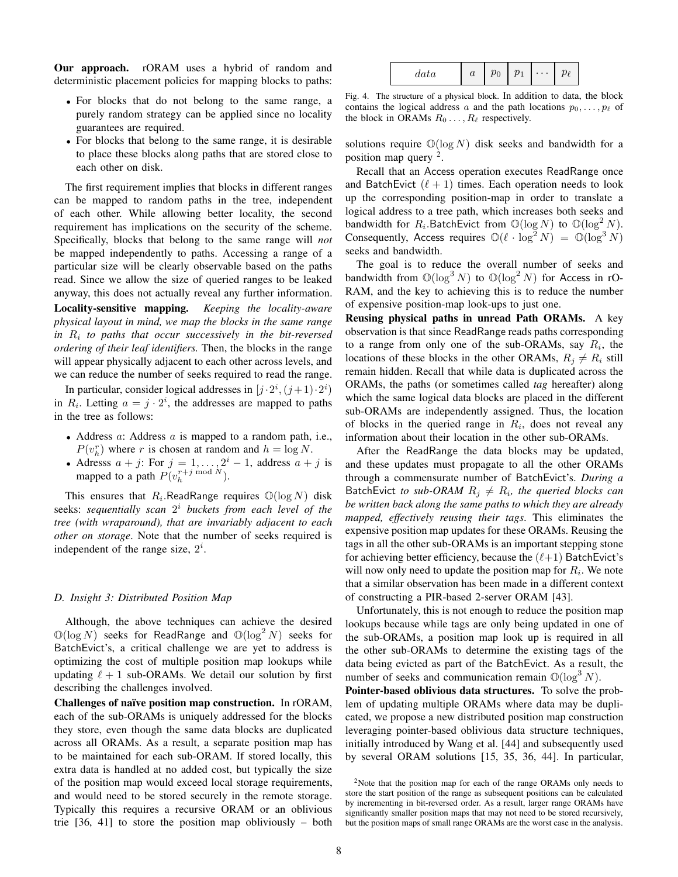Our approach. rORAM uses a hybrid of random and deterministic placement policies for mapping blocks to paths:

- For blocks that do not belong to the same range, a purely random strategy can be applied since no locality guarantees are required.
- For blocks that belong to the same range, it is desirable to place these blocks along paths that are stored close to each other on disk.

The first requirement implies that blocks in different ranges can be mapped to random paths in the tree, independent of each other. While allowing better locality, the second requirement has implications on the security of the scheme. Specifically, blocks that belong to the same range will *not* be mapped independently to paths. Accessing a range of a particular size will be clearly observable based on the paths read. Since we allow the size of queried ranges to be leaked anyway, this does not actually reveal any further information.

Locality-sensitive mapping. *Keeping the locality-aware physical layout in mind, we map the blocks in the same range in* R<sup>i</sup> *to paths that occur successively in the bit-reversed ordering of their leaf identifiers.* Then, the blocks in the range will appear physically adjacent to each other across levels, and we can reduce the number of seeks required to read the range.

In particular, consider logical addresses in  $[j \cdot 2^i, (j+1) \cdot 2^i)$ in  $R_i$ . Letting  $a = j \cdot 2^i$ , the addresses are mapped to paths in the tree as follows:

- Address a: Address a is mapped to a random path, i.e.,  $P(v_h^r)$  where r is chosen at random and  $h = \log N$ .
- Adresss  $a + j$ : For  $j = 1, ..., 2^i 1$ , address  $a + j$  is mapped to a path  $P(v_h^{r+j \bmod N})$ .

This ensures that  $R_i$ . ReadRange requires  $\mathbb{O}(\log N)$  disk seeks: *sequentially scan* 2 <sup>i</sup> *buckets from each level of the tree (with wraparound), that are invariably adjacent to each other on storage*. Note that the number of seeks required is independent of the range size,  $2^i$ .

## *D. Insight 3: Distributed Position Map*

Although, the above techniques can achieve the desired  $\mathbb{O}(\log N)$  seeks for ReadRange and  $\mathbb{O}(\log^2 N)$  seeks for BatchEvict's, a critical challenge we are yet to address is optimizing the cost of multiple position map lookups while updating  $\ell + 1$  sub-ORAMs. We detail our solution by first describing the challenges involved.

Challenges of naïve position map construction. In rORAM, each of the sub-ORAMs is uniquely addressed for the blocks they store, even though the same data blocks are duplicated across all ORAMs. As a result, a separate position map has to be maintained for each sub-ORAM. If stored locally, this extra data is handled at no added cost, but typically the size of the position map would exceed local storage requirements, and would need to be stored securely in the remote storage. Typically this requires a recursive ORAM or an oblivious trie [36, 41] to store the position map obliviously – both

| $\mathfrak{c}$<br>aava | $\bm{u}$ | $\mathbf{v}$<br>v | า | $\cdots$ |  |
|------------------------|----------|-------------------|---|----------|--|
|------------------------|----------|-------------------|---|----------|--|

Fig. 4. The structure of a physical block. In addition to data, the block contains the logical address a and the path locations  $p_0, \ldots, p_\ell$  of the block in ORAMs  $R_0 \ldots, R_\ell$  respectively.

solutions require  $\mathbb{O}(\log N)$  disk seeks and bandwidth for a position map query <sup>2</sup>.

Recall that an Access operation executes ReadRange once and BatchEvict  $(\ell + 1)$  times. Each operation needs to look up the corresponding position-map in order to translate a logical address to a tree path, which increases both seeks and bandwidth for  $R_i$ . BatchEvict from  $\mathbb{O}(\log N)$  to  $\mathbb{O}(\log^2 N)$ . Consequently, Access requires  $\mathbb{O}(\ell \cdot \log^2 N) = \mathbb{O}(\log^3 N)$ seeks and bandwidth.

The goal is to reduce the overall number of seeks and bandwidth from  $\mathbb{O}(\log^3 N)$  to  $\mathbb{O}(\log^2 N)$  for Access in rO-RAM, and the key to achieving this is to reduce the number of expensive position-map look-ups to just one.

Reusing physical paths in unread Path ORAMs. A key observation is that since ReadRange reads paths corresponding to a range from only one of the sub-ORAMs, say  $R_i$ , the locations of these blocks in the other ORAMs,  $R_i \neq R_i$  still remain hidden. Recall that while data is duplicated across the ORAMs, the paths (or sometimes called *tag* hereafter) along which the same logical data blocks are placed in the different sub-ORAMs are independently assigned. Thus, the location of blocks in the queried range in  $R_i$ , does not reveal any information about their location in the other sub-ORAMs.

After the ReadRange the data blocks may be updated, and these updates must propagate to all the other ORAMs through a commensurate number of BatchEvict's. *During a*  $\mathsf{BatchEvict}$  to sub-ORAM  $R_j \neq R_i$ , the queried blocks can *be written back along the same paths to which they are already mapped, effectively reusing their tags*. This eliminates the expensive position map updates for these ORAMs. Reusing the tags in all the other sub-ORAMs is an important stepping stone for achieving better efficiency, because the  $(\ell+1)$  BatchEvict's will now only need to update the position map for  $R_i$ . We note that a similar observation has been made in a different context of constructing a PIR-based 2-server ORAM [43].

Unfortunately, this is not enough to reduce the position map lookups because while tags are only being updated in one of the sub-ORAMs, a position map look up is required in all the other sub-ORAMs to determine the existing tags of the data being evicted as part of the BatchEvict. As a result, the number of seeks and communication remain  $\mathbb{O}(\log^3 N)$ .

Pointer-based oblivious data structures. To solve the problem of updating multiple ORAMs where data may be duplicated, we propose a new distributed position map construction leveraging pointer-based oblivious data structure techniques, initially introduced by Wang et al. [44] and subsequently used by several ORAM solutions [15, 35, 36, 44]. In particular,

<sup>&</sup>lt;sup>2</sup>Note that the position map for each of the range ORAMs only needs to store the start position of the range as subsequent positions can be calculated by incrementing in bit-reversed order. As a result, larger range ORAMs have significantly smaller position maps that may not need to be stored recursively, but the position maps of small range ORAMs are the worst case in the analysis.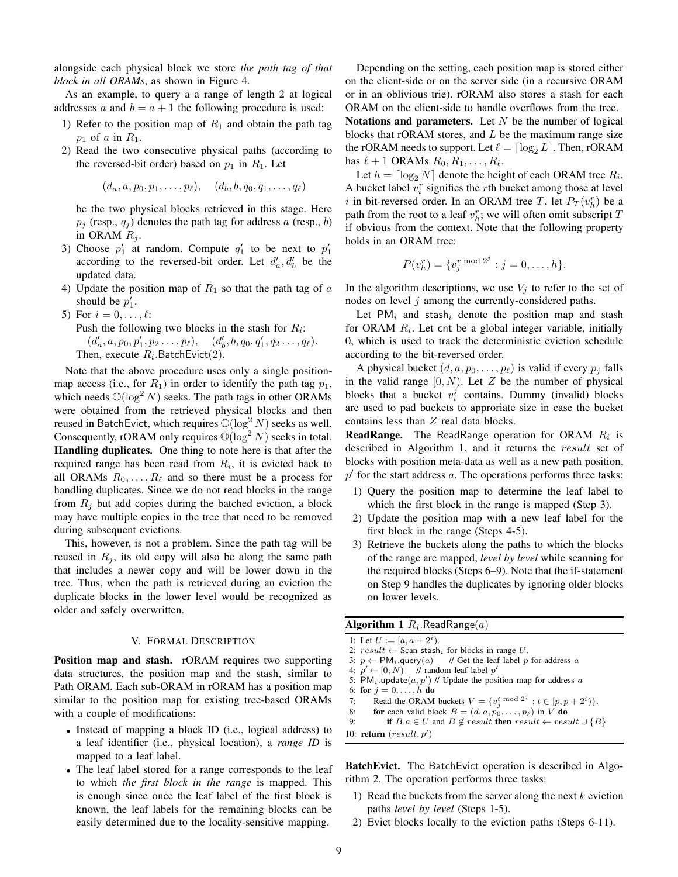alongside each physical block we store *the path tag of that block in all ORAMs*, as shown in Figure 4.

As an example, to query a a range of length 2 at logical addresses a and  $b = a + 1$  the following procedure is used:

- 1) Refer to the position map of  $R_1$  and obtain the path tag  $p_1$  of a in  $R_1$ .
- 2) Read the two consecutive physical paths (according to the reversed-bit order) based on  $p_1$  in  $R_1$ . Let

$$
(d_a, a, p_0, p_1, \ldots, p_\ell), \quad (d_b, b, q_0, q_1, \ldots, q_\ell)
$$

be the two physical blocks retrieved in this stage. Here  $p_i$  (resp.,  $q_i$ ) denotes the path tag for address a (resp., b) in ORAM  $R_i$ .

- 3) Choose  $p'_1$  at random. Compute  $q'_1$  to be next to  $p'_1$ according to the reversed-bit order. Let  $d'_a, d'_b$  be the updated data.
- 4) Update the position map of  $R_1$  so that the path tag of a should be  $p'_1$ .
- 5) For  $i = 0, \ldots, \ell$ : Push the following two blocks in the stash for  $R_i$ :  $(d'_a, a, p_0, p'_1, p_2 \ldots, p_\ell), \quad (d'_b, b, q_0, q'_1, q_2 \ldots, q_\ell).$ Then, execute  $R_i$ . Batch Evict $(2)$ .

Note that the above procedure uses only a single positionmap access (i.e., for  $R_1$ ) in order to identify the path tag  $p_1$ , which needs  $\mathcal{O}(\log^2 N)$  seeks. The path tags in other ORAMs were obtained from the retrieved physical blocks and then reused in BatchEvict, which requires  $\mathbb{O}(\log^2 N)$  seeks as well. Consequently, rORAM only requires  $\mathbb{O}(\log^2 N)$  seeks in total. Handling duplicates. One thing to note here is that after the required range has been read from  $R_i$ , it is evicted back to all ORAMs  $R_0, \ldots, R_\ell$  and so there must be a process for handling duplicates. Since we do not read blocks in the range from  $R_i$  but add copies during the batched eviction, a block may have multiple copies in the tree that need to be removed during subsequent evictions.

This, however, is not a problem. Since the path tag will be reused in  $R_i$ , its old copy will also be along the same path that includes a newer copy and will be lower down in the tree. Thus, when the path is retrieved during an eviction the duplicate blocks in the lower level would be recognized as older and safely overwritten.

## V. FORMAL DESCRIPTION

**Position map and stash.** rORAM requires two supporting data structures, the position map and the stash, similar to Path ORAM. Each sub-ORAM in rORAM has a position map similar to the position map for existing tree-based ORAMs with a couple of modifications:

- Instead of mapping a block ID (i.e., logical address) to a leaf identifier (i.e., physical location), a *range ID* is mapped to a leaf label.
- The leaf label stored for a range corresponds to the leaf to which *the first block in the range* is mapped. This is enough since once the leaf label of the first block is known, the leaf labels for the remaining blocks can be easily determined due to the locality-sensitive mapping.

Depending on the setting, each position map is stored either on the client-side or on the server side (in a recursive ORAM or in an oblivious trie). rORAM also stores a stash for each ORAM on the client-side to handle overflows from the tree. Notations and parameters. Let  $N$  be the number of logical blocks that rORAM stores, and  $L$  be the maximum range size the rORAM needs to support. Let  $\ell = \lceil \log_2 L \rceil$ . Then, rORAM has  $\ell + 1$  ORAMs  $R_0, R_1, \ldots, R_\ell$ .

Let  $h = \lceil \log_2 N \rceil$  denote the height of each ORAM tree  $R_i$ . A bucket label  $v_i^r$  signifies the *r*th bucket among those at level i in bit-reversed order. In an ORAM tree T, let  $P_T(v_h^r)$  be a path from the root to a leaf  $v_h^r$ ; we will often omit subscript T if obvious from the context. Note that the following property holds in an ORAM tree:

$$
P(v_h^r) = \{v_j^{r \bmod 2^j} : j = 0, ..., h\}.
$$

In the algorithm descriptions, we use  $V_j$  to refer to the set of nodes on level  $j$  among the currently-considered paths.

Let  $PM_i$  and stash<sub>i</sub> denote the position map and stash for ORAM  $R_i$ . Let cnt be a global integer variable, initially 0, which is used to track the deterministic eviction schedule according to the bit-reversed order.

A physical bucket  $(d, a, p_0, \ldots, p_\ell)$  is valid if every  $p_j$  falls in the valid range  $[0, N)$ . Let Z be the number of physical blocks that a bucket  $v_i^j$  contains. Dummy (invalid) blocks are used to pad buckets to approriate size in case the bucket contains less than Z real data blocks.

**ReadRange.** The ReadRange operation for ORAM  $R_i$  is described in Algorithm 1, and it returns the result set of blocks with position meta-data as well as a new path position,  $p'$  for the start address  $a$ . The operations performs three tasks:

- 1) Query the position map to determine the leaf label to which the first block in the range is mapped (Step 3).
- 2) Update the position map with a new leaf label for the first block in the range (Steps 4-5).
- 3) Retrieve the buckets along the paths to which the blocks of the range are mapped, *level by level* while scanning for the required blocks (Steps 6–9). Note that the if-statement on Step 9 handles the duplicates by ignoring older blocks on lower levels.

 ${\bf Algorithm\ 1}$   $R_i.$ Read ${\sf Range}(a)$ 

1: Let  $U := [a, a + 2^i)$ .

- 2:  $result \leftarrow \text{Scan stash}_i$  for blocks in range U.<br>3:  $p \leftarrow \text{PM}_i$ . query(a) // Get the leaf label p
- $\frac{1}{2}$  Get the leaf label p for address a 4:  $p' \leftarrow [0, N)$  // random leaf label  $p'$
- 

```
5: PM_i update(a, p') // Update the position map for address a
6: for j = 0, ..., h do
```
- 7: Read the ORAM buckets  $V = \{v_j^t \bmod 2^j : t \in [p, p + 2^i)\}.$
- 8: **for** each valid block  $B = (d, a, p_0, \ldots, p_\ell)$  in V **do**<br>9. **if**  $B, a \in U$  and  $B \notin result$  **then** result  $\leftarrow$  result if  $B.a \in U$  and  $B \notin result$  then  $result \leftarrow result \cup {B}$
- 10: **return**  $(result, p')$

BatchEvict. The BatchEvict operation is described in Algorithm 2. The operation performs three tasks:

- 1) Read the buckets from the server along the next  $k$  eviction paths *level by level* (Steps 1-5).
- 2) Evict blocks locally to the eviction paths (Steps 6-11).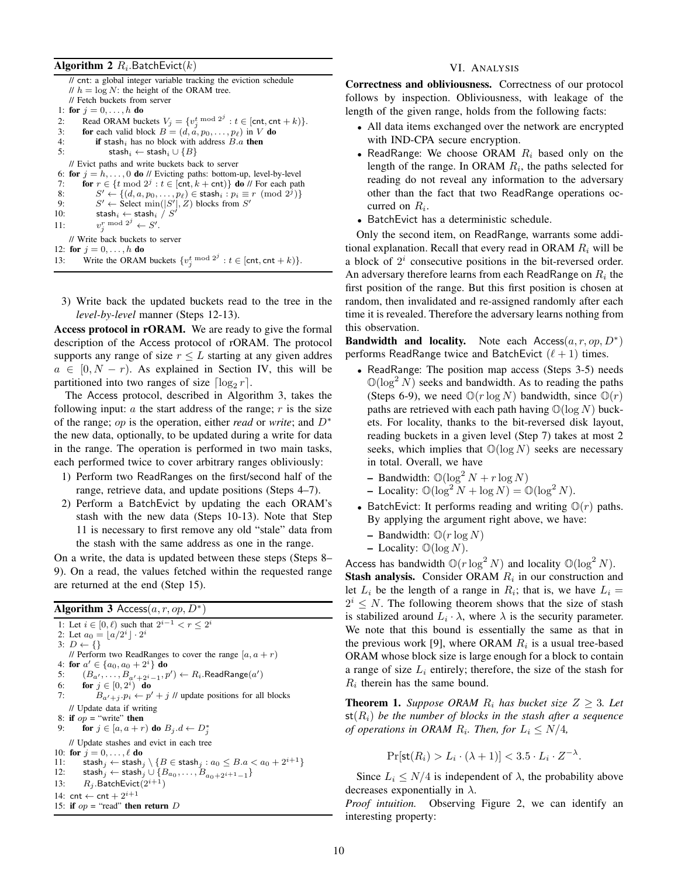# ${\bf Algorithm ~2}$   $R_i.$ BatchEvict $(k)$

|     | // cnt: a global integer variable tracking the eviction schedule                               |
|-----|------------------------------------------------------------------------------------------------|
|     | // $h = \log N$ : the height of the ORAM tree.                                                 |
|     | // Fetch buckets from server                                                                   |
|     | 1: for $j = 0, , h$ do                                                                         |
| 2:  | Read ORAM buckets $V_j = \{v_j^t \bmod 2^j : t \in [\text{cnt}, \text{cnt} + k)\}.$            |
| 3:  | for each valid block $B = (d, a, p_0, \dots, p_\ell)$ in V do                                  |
| 4:  | <b>if</b> stash <sub>i</sub> has no block with address $B.a$ then                              |
| 5:  | stash <sub>i</sub> $\leftarrow$ stash <sub>i</sub> $\cup \{B\}$                                |
|     | // Evict paths and write buckets back to server                                                |
|     | 6: for $j = h, \ldots, 0$ do // Evicting paths: bottom-up, level-by-level                      |
| 7:  | for $r \in \{t \mod 2^j : t \in [\text{cnt}, k + \text{cnt})\}$ do // For each path            |
| 8:  | $S' \leftarrow \{(d, a, p_0, \ldots, p_\ell) \in \mathsf{stash}_i : p_i \equiv r \pmod{2^j}\}$ |
| 9:  | $S' \leftarrow$ Select min( S' , Z) blocks from S'                                             |
| 10: | stash <sub>i</sub> $\leftarrow$ stash <sub>i</sub> / S'                                        |
| 11: | $v_i^r \mod 2^j \leftarrow S'.$                                                                |
|     | // Write back buckets to server                                                                |
|     | 12: for $j = 0, , h$ do                                                                        |
|     | 13: Write the ORAM buckets $\{v_j^t \bmod 2^j : t \in [\text{cnt}, \text{cnt} + k)\}.$         |

3) Write back the updated buckets read to the tree in the *level-by-level* manner (Steps 12-13).

Access protocol in rORAM. We are ready to give the formal description of the Access protocol of rORAM. The protocol supports any range of size  $r \leq L$  starting at any given addres  $a \in [0, N - r)$ . As explained in Section IV, this will be partitioned into two ranges of size  $\lceil \log_2 r \rceil$ .

The Access protocol, described in Algorithm 3, takes the following input:  $\alpha$  the start address of the range;  $r$  is the size of the range; op is the operation, either *read* or *write*; and D<sup>∗</sup> the new data, optionally, to be updated during a write for data in the range. The operation is performed in two main tasks, each performed twice to cover arbitrary ranges obliviously:

- 1) Perform two ReadRanges on the first/second half of the range, retrieve data, and update positions (Steps 4–7).
- 2) Perform a BatchEvict by updating the each ORAM's stash with the new data (Steps 10-13). Note that Step 11 is necessary to first remove any old "stale" data from the stash with the same address as one in the range.

On a write, the data is updated between these steps (Steps 8– 9). On a read, the values fetched within the requested range are returned at the end (Step 15).

# Algorithm 3 Access $(a, r, op, D^*)$

1: Let  $i \in [0, \ell)$  such that  $2^{i-1} < r \leq 2^i$ 2: Let  $a_0 = \lfloor a/2^i \rfloor \cdot 2^i$ 3:  $D \leftarrow \{\}$ // Perform two ReadRanges to cover the range  $[a, a + r]$ 4: for  $a' \in \{a_0, a_0 + 2^i\}$  do 5:  $(B_{a'}, \ldots, B_{a'+2^{i}-1}, p') \leftarrow R_i$ . Read Range $(a')$ 6: **for**  $j \in [0, 2^i)$  **do** 7:  $B_{a'+j}p_i \leftarrow p' + j$  // update positions for all blocks // Update data if writing 8: if  $op =$  "write" then 9: for  $j \in [a, a+r)$  do  $B_j.d \leftarrow D_j^*$ // Update stashes and evict in each tree 10: for  $j = 0, \ldots, \ell$  do 11:  $\text{stash}_j \leftarrow \text{stash}_j \setminus \{B \in \text{stash}_j : a_0 \leq B.a < a_0 + 2^{i+1}\}\$ <br>12:  $\text{stash}_i \leftarrow \text{stash}_i \cup \{B_{a_0}, \ldots, B_{n-1}, a_{i+1} \}$ 12: stash<sub>j</sub> ← stash<sub>j</sub> ∪  $\{B_{a_0}, \ldots, B_{a_0+2^{i+1}-1}\}$ 13:  $R_j$  .BatchEvict $(2^{i+1})$ 14:  $\text{cnt} \leftarrow \text{cnt} + 2^{i+1}$ 15: if  $op =$  "read" then return D

## VI. ANALYSIS

Correctness and obliviousness. Correctness of our protocol follows by inspection. Obliviousness, with leakage of the length of the given range, holds from the following facts:

- All data items exchanged over the network are encrypted with IND-CPA secure encryption.
- ReadRange: We choose ORAM  $R_i$  based only on the length of the range. In ORAM  $R_i$ , the paths selected for reading do not reveal any information to the adversary other than the fact that two ReadRange operations occurred on  $R_i$ .
- BatchEvict has a deterministic schedule.

Only the second item, on ReadRange, warrants some additional explanation. Recall that every read in ORAM  $R_i$  will be a block of  $2<sup>i</sup>$  consecutive positions in the bit-reversed order. An adversary therefore learns from each ReadRange on  $R_i$  the first position of the range. But this first position is chosen at random, then invalidated and re-assigned randomly after each time it is revealed. Therefore the adversary learns nothing from this observation.

**Bandwidth and locality.** Note each Access $(a, r, op, D^*)$ performs ReadRange twice and BatchEvict  $(\ell + 1)$  times.

- ReadRange: The position map access (Steps 3-5) needs  $\mathbb{O}(\log^2 N)$  seeks and bandwidth. As to reading the paths (Steps 6-9), we need  $\mathbb{O}(r \log N)$  bandwidth, since  $\mathbb{O}(r)$ paths are retrieved with each path having  $\mathbb{O}(\log N)$  buckets. For locality, thanks to the bit-reversed disk layout, reading buckets in a given level (Step 7) takes at most 2 seeks, which implies that  $\mathbb{O}(\log N)$  seeks are necessary in total. Overall, we have
	- Bandwidth:  $\mathbb{O}(\log^2 N + r \log N)$
	- Locality:  $\mathbb{O}(\log^2 N + \log N) = \mathbb{O}(\log^2 N)$ .
- BatchEvict: It performs reading and writing  $\mathbb{O}(r)$  paths. By applying the argument right above, we have:
	- Bandwidth:  $\mathbb{O}(r \log N)$
	- Locality:  $\mathbb{O}(\log N)$ .

Access has bandwidth  $\mathbb{O}(r \log^2 N)$  and locality  $\mathbb{O}(\log^2 N)$ . **Stash analysis.** Consider ORAM  $R_i$  in our construction and let  $L_i$  be the length of a range in  $R_i$ ; that is, we have  $L_i =$  $2^{i} \leq N$ . The following theorem shows that the size of stash is stabilized around  $L_i \cdot \lambda$ , where  $\lambda$  is the security parameter. We note that this bound is essentially the same as that in the previous work [9], where ORAM  $R_i$  is a usual tree-based ORAM whose block size is large enough for a block to contain a range of size  $L_i$  entirely; therefore, the size of the stash for  $R_i$  therein has the same bound.

**Theorem 1.** *Suppose ORAM*  $R_i$  *has bucket size*  $Z \geq 3$ *. Let*  $\mathsf{st}(R_i)$  *be the number of blocks in the stash after a sequence of operations in ORAM*  $R_i$ *. Then, for*  $L_i \leq N/4$ ,

$$
\Pr[\text{st}(R_i) > L_i \cdot (\lambda + 1)] < 3.5 \cdot L_i \cdot Z^{-\lambda}.
$$

Since  $L_i \leq N/4$  is independent of  $\lambda$ , the probability above decreases exponentially in  $\lambda$ .

*Proof intuition.* Observing Figure 2, we can identify an interesting property: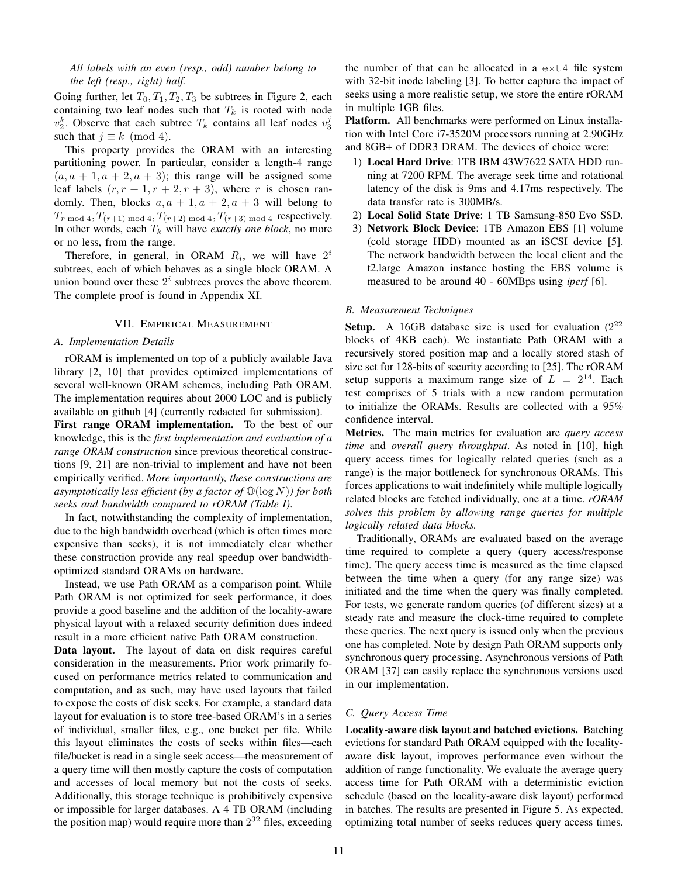# *All labels with an even (resp., odd) number belong to the left (resp., right) half.*

Going further, let  $T_0, T_1, T_2, T_3$  be subtrees in Figure 2, each containing two leaf nodes such that  $T_k$  is rooted with node  $v_2^k$ . Observe that each subtree  $T_k$  contains all leaf nodes  $v_3^j$ such that  $j \equiv k \pmod{4}$ .

This property provides the ORAM with an interesting partitioning power. In particular, consider a length-4 range  $(a, a + 1, a + 2, a + 3)$ ; this range will be assigned some leaf labels  $(r, r + 1, r + 2, r + 3)$ , where r is chosen randomly. Then, blocks  $a, a + 1, a + 2, a + 3$  will belong to  $T_{r \text{ mod } 4}$ ,  $T_{(r+1) \text{ mod } 4}$ ,  $T_{(r+2) \text{ mod } 4}$ ,  $T_{(r+3) \text{ mod } 4}$  respectively. In other words, each  $T_k$  will have *exactly one block*, no more or no less, from the range.

Therefore, in general, in ORAM  $R_i$ , we will have  $2^i$ subtrees, each of which behaves as a single block ORAM. A union bound over these  $2<sup>i</sup>$  subtrees proves the above theorem. The complete proof is found in Appendix XI.

# VII. EMPIRICAL MEASUREMENT

## *A. Implementation Details*

rORAM is implemented on top of a publicly available Java library [2, 10] that provides optimized implementations of several well-known ORAM schemes, including Path ORAM. The implementation requires about 2000 LOC and is publicly available on github [4] (currently redacted for submission).

First range ORAM implementation. To the best of our knowledge, this is the *first implementation and evaluation of a range ORAM construction* since previous theoretical constructions [9, 21] are non-trivial to implement and have not been empirically verified. *More importantly, these constructions are asymptotically less efficient (by a factor of* O(log N)*) for both seeks and bandwidth compared to rORAM (Table I)*.

In fact, notwithstanding the complexity of implementation, due to the high bandwidth overhead (which is often times more expensive than seeks), it is not immediately clear whether these construction provide any real speedup over bandwidthoptimized standard ORAMs on hardware.

Instead, we use Path ORAM as a comparison point. While Path ORAM is not optimized for seek performance, it does provide a good baseline and the addition of the locality-aware physical layout with a relaxed security definition does indeed result in a more efficient native Path ORAM construction.

Data layout. The layout of data on disk requires careful consideration in the measurements. Prior work primarily focused on performance metrics related to communication and computation, and as such, may have used layouts that failed to expose the costs of disk seeks. For example, a standard data layout for evaluation is to store tree-based ORAM's in a series of individual, smaller files, e.g., one bucket per file. While this layout eliminates the costs of seeks within files—each file/bucket is read in a single seek access—the measurement of a query time will then mostly capture the costs of computation and accesses of local memory but not the costs of seeks. Additionally, this storage technique is prohibitively expensive or impossible for larger databases. A 4 TB ORAM (including the position map) would require more than  $2^{32}$  files, exceeding the number of that can be allocated in a  $ext{ext{4}}$  file system with 32-bit inode labeling [3]. To better capture the impact of seeks using a more realistic setup, we store the entire rORAM in multiple 1GB files.

Platform. All benchmarks were performed on Linux installation with Intel Core i7-3520M processors running at 2.90GHz and 8GB+ of DDR3 DRAM. The devices of choice were:

- 1) Local Hard Drive: 1TB IBM 43W7622 SATA HDD running at 7200 RPM. The average seek time and rotational latency of the disk is 9ms and 4.17ms respectively. The data transfer rate is 300MB/s.
- 2) Local Solid State Drive: 1 TB Samsung-850 Evo SSD.
- 3) Network Block Device: 1TB Amazon EBS [1] volume (cold storage HDD) mounted as an iSCSI device [5]. The network bandwidth between the local client and the t2.large Amazon instance hosting the EBS volume is measured to be around 40 - 60MBps using *iperf* [6].

## *B. Measurement Techniques*

**Setup.** A 16GB database size is used for evaluation  $(2^{22}$ blocks of 4KB each). We instantiate Path ORAM with a recursively stored position map and a locally stored stash of size set for 128-bits of security according to [25]. The rORAM setup supports a maximum range size of  $L = 2^{14}$ . Each test comprises of 5 trials with a new random permutation to initialize the ORAMs. Results are collected with a 95% confidence interval.

Metrics. The main metrics for evaluation are *query access time* and *overall query throughput*. As noted in [10], high query access times for logically related queries (such as a range) is the major bottleneck for synchronous ORAMs. This forces applications to wait indefinitely while multiple logically related blocks are fetched individually, one at a time. *rORAM solves this problem by allowing range queries for multiple logically related data blocks.*

Traditionally, ORAMs are evaluated based on the average time required to complete a query (query access/response time). The query access time is measured as the time elapsed between the time when a query (for any range size) was initiated and the time when the query was finally completed. For tests, we generate random queries (of different sizes) at a steady rate and measure the clock-time required to complete these queries. The next query is issued only when the previous one has completed. Note by design Path ORAM supports only synchronous query processing. Asynchronous versions of Path ORAM [37] can easily replace the synchronous versions used in our implementation.

# *C. Query Access Time*

Locality-aware disk layout and batched evictions. Batching evictions for standard Path ORAM equipped with the localityaware disk layout, improves performance even without the addition of range functionality. We evaluate the average query access time for Path ORAM with a deterministic eviction schedule (based on the locality-aware disk layout) performed in batches. The results are presented in Figure 5. As expected, optimizing total number of seeks reduces query access times.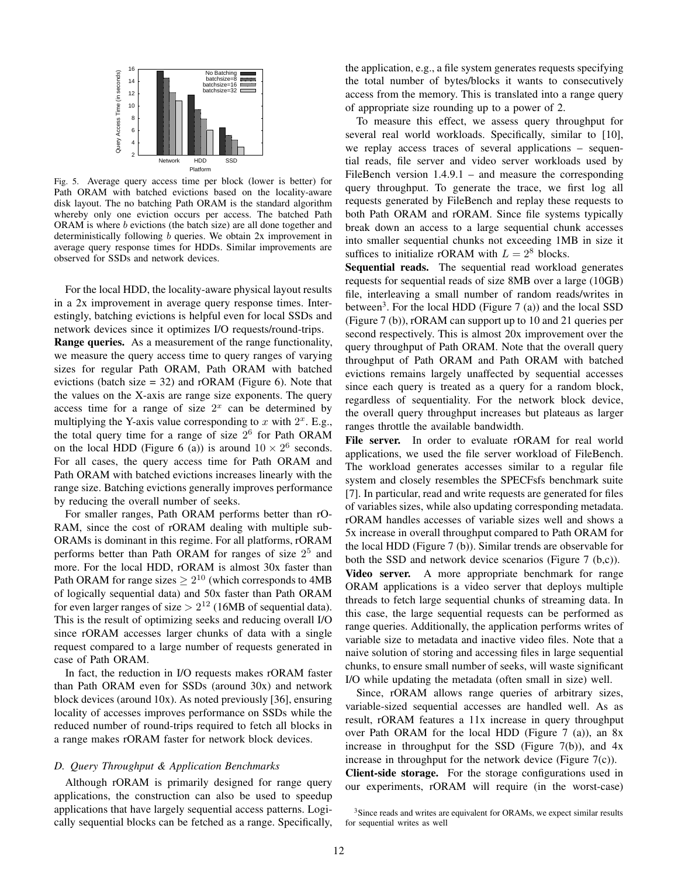

Fig. 5. Average query access time per block (lower is better) for Path ORAM with batched evictions based on the locality-aware disk layout. The no batching Path ORAM is the standard algorithm whereby only one eviction occurs per access. The batched Path ORAM is where b evictions (the batch size) are all done together and deterministically following b queries. We obtain 2x improvement in average query response times for HDDs. Similar improvements are observed for SSDs and network devices.

For the local HDD, the locality-aware physical layout results in a 2x improvement in average query response times. Interestingly, batching evictions is helpful even for local SSDs and network devices since it optimizes I/O requests/round-trips.

Range queries. As a measurement of the range functionality, we measure the query access time to query ranges of varying sizes for regular Path ORAM, Path ORAM with batched evictions (batch size  $= 32$ ) and rORAM (Figure 6). Note that the values on the X-axis are range size exponents. The query access time for a range of size  $2<sup>x</sup>$  can be determined by multiplying the Y-axis value corresponding to x with  $2^x$ . E.g., the total query time for a range of size  $2<sup>6</sup>$  for Path ORAM on the local HDD (Figure 6 (a)) is around  $10 \times 2^6$  seconds. For all cases, the query access time for Path ORAM and Path ORAM with batched evictions increases linearly with the range size. Batching evictions generally improves performance by reducing the overall number of seeks.

For smaller ranges, Path ORAM performs better than rO-RAM, since the cost of rORAM dealing with multiple sub-ORAMs is dominant in this regime. For all platforms, rORAM performs better than Path ORAM for ranges of size  $2^5$  and more. For the local HDD, rORAM is almost 30x faster than Path ORAM for range sizes  $\geq 2^{10}$  (which corresponds to 4MB of logically sequential data) and 50x faster than Path ORAM for even larger ranges of size  $> 2^{12}$  (16MB of sequential data). This is the result of optimizing seeks and reducing overall I/O since rORAM accesses larger chunks of data with a single request compared to a large number of requests generated in case of Path ORAM.

In fact, the reduction in I/O requests makes rORAM faster than Path ORAM even for SSDs (around 30x) and network block devices (around 10x). As noted previously [36], ensuring locality of accesses improves performance on SSDs while the reduced number of round-trips required to fetch all blocks in a range makes rORAM faster for network block devices.

## *D. Query Throughput & Application Benchmarks*

Although rORAM is primarily designed for range query applications, the construction can also be used to speedup applications that have largely sequential access patterns. Logically sequential blocks can be fetched as a range. Specifically, the application, e.g., a file system generates requests specifying the total number of bytes/blocks it wants to consecutively access from the memory. This is translated into a range query of appropriate size rounding up to a power of 2.

To measure this effect, we assess query throughput for several real world workloads. Specifically, similar to [10], we replay access traces of several applications – sequential reads, file server and video server workloads used by FileBench version 1.4.9.1 – and measure the corresponding query throughput. To generate the trace, we first log all requests generated by FileBench and replay these requests to both Path ORAM and rORAM. Since file systems typically break down an access to a large sequential chunk accesses into smaller sequential chunks not exceeding 1MB in size it suffices to initialize rORAM with  $L = 2<sup>8</sup>$  blocks.

Sequential reads. The sequential read workload generates requests for sequential reads of size 8MB over a large (10GB) file, interleaving a small number of random reads/writes in between<sup>3</sup>. For the local HDD (Figure  $7$  (a)) and the local SSD (Figure 7 (b)), rORAM can support up to 10 and 21 queries per second respectively. This is almost 20x improvement over the query throughput of Path ORAM. Note that the overall query throughput of Path ORAM and Path ORAM with batched evictions remains largely unaffected by sequential accesses since each query is treated as a query for a random block, regardless of sequentiality. For the network block device, the overall query throughput increases but plateaus as larger ranges throttle the available bandwidth.

File server. In order to evaluate rORAM for real world applications, we used the file server workload of FileBench. The workload generates accesses similar to a regular file system and closely resembles the SPECFsfs benchmark suite [7]. In particular, read and write requests are generated for files of variables sizes, while also updating corresponding metadata. rORAM handles accesses of variable sizes well and shows a 5x increase in overall throughput compared to Path ORAM for the local HDD (Figure 7 (b)). Similar trends are observable for both the SSD and network device scenarios (Figure 7 (b,c)).

Video server. A more appropriate benchmark for range ORAM applications is a video server that deploys multiple threads to fetch large sequential chunks of streaming data. In this case, the large sequential requests can be performed as range queries. Additionally, the application performs writes of variable size to metadata and inactive video files. Note that a naive solution of storing and accessing files in large sequential chunks, to ensure small number of seeks, will waste significant I/O while updating the metadata (often small in size) well.

Since, rORAM allows range queries of arbitrary sizes, variable-sized sequential accesses are handled well. As as result, rORAM features a 11x increase in query throughput over Path ORAM for the local HDD (Figure 7 (a)), an 8x increase in throughput for the SSD (Figure  $7(b)$ ), and  $4x$ increase in throughput for the network device (Figure 7(c)).

Client-side storage. For the storage configurations used in our experiments, rORAM will require (in the worst-case)

<sup>&</sup>lt;sup>3</sup>Since reads and writes are equivalent for ORAMs, we expect similar results for sequential writes as well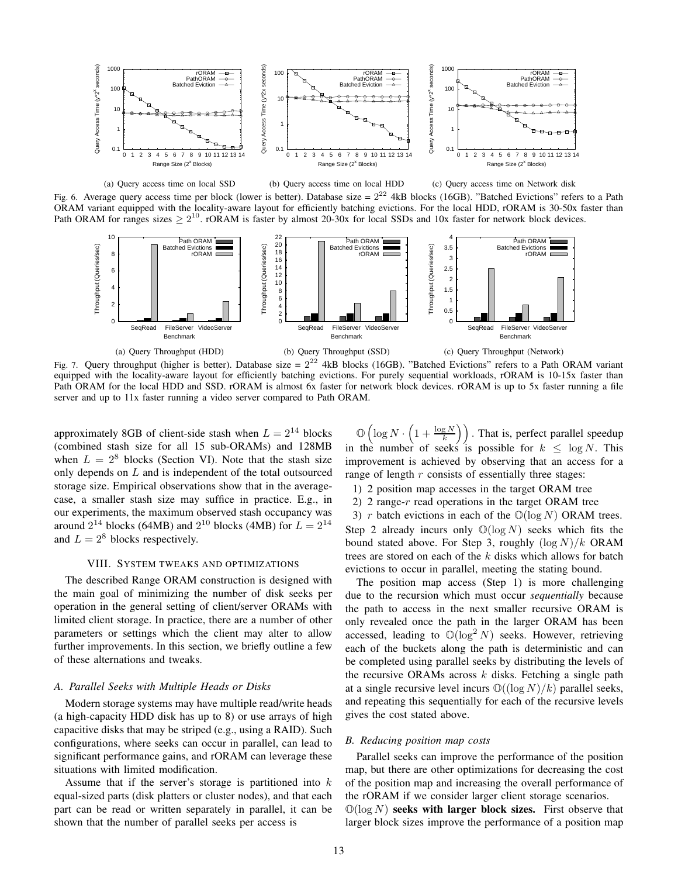

(a) Query access time on local SSD (b) Query access time on local HDD (c) Query access time on Network disk

Fig. 6. Average query access time per block (lower is better). Database size =  $2^{22}$  4kB blocks (16GB). "Batched Evictions" refers to a Path ORAM variant equipped with the locality-aware layout for efficiently batching evictions. For the local HDD, rORAM is 30-50x faster than Path ORAM for ranges sizes  $\geq 2^{10}$ . rORAM is faster by almost 20-30x for local SSDs and 10x faster for network block devices.



Fig. 7. Query throughput (higher is better). Database size =  $2^{22}$  4kB blocks (16GB). "Batched Evictions" refers to a Path ORAM variant equipped with the locality-aware layout for efficiently batching evictions. For purely sequential workloads, rORAM is 10-15x faster than Path ORAM for the local HDD and SSD. rORAM is almost 6x faster for network block devices. rORAM is up to 5x faster running a file server and up to 11x faster running a video server compared to Path ORAM.

approximately 8GB of client-side stash when  $L = 2^{14}$  blocks (combined stash size for all 15 sub-ORAMs) and 128MB when  $L = 2^8$  blocks (Section VI). Note that the stash size only depends on L and is independent of the total outsourced storage size. Empirical observations show that in the averagecase, a smaller stash size may suffice in practice. E.g., in our experiments, the maximum observed stash occupancy was around  $2^{14}$  blocks (64MB) and  $2^{10}$  blocks (4MB) for  $L = 2^{14}$ and  $L = 2^8$  blocks respectively.

#### VIII. SYSTEM TWEAKS AND OPTIMIZATIONS

The described Range ORAM construction is designed with the main goal of minimizing the number of disk seeks per operation in the general setting of client/server ORAMs with limited client storage. In practice, there are a number of other parameters or settings which the client may alter to allow further improvements. In this section, we briefly outline a few of these alternations and tweaks.

## *A. Parallel Seeks with Multiple Heads or Disks*

Modern storage systems may have multiple read/write heads (a high-capacity HDD disk has up to 8) or use arrays of high capacitive disks that may be striped (e.g., using a RAID). Such configurations, where seeks can occur in parallel, can lead to significant performance gains, and rORAM can leverage these situations with limited modification.

Assume that if the server's storage is partitioned into  $k$ equal-sized parts (disk platters or cluster nodes), and that each part can be read or written separately in parallel, it can be shown that the number of parallel seeks per access is

 $\mathbb{O}\left(\log N \cdot \left(1 + \frac{\log N}{k}\right)\right)$  . That is, perfect parallel speedup in the number of seeks is possible for  $k \leq \log N$ . This improvement is achieved by observing that an access for a range of length  $r$  consists of essentially three stages:

- 1) 2 position map accesses in the target ORAM tree
- 2) 2 range-r read operations in the target ORAM tree

3) r batch evictions in each of the  $\mathbb{O}(\log N)$  ORAM trees. Step 2 already incurs only  $\mathbb{O}(\log N)$  seeks which fits the bound stated above. For Step 3, roughly  $(\log N)/k$  ORAM trees are stored on each of the  $k$  disks which allows for batch evictions to occur in parallel, meeting the stating bound.

The position map access (Step 1) is more challenging due to the recursion which must occur *sequentially* because the path to access in the next smaller recursive ORAM is only revealed once the path in the larger ORAM has been accessed, leading to  $\mathbb{O}(\log^2 N)$  seeks. However, retrieving each of the buckets along the path is deterministic and can be completed using parallel seeks by distributing the levels of the recursive ORAMs across  $k$  disks. Fetching a single path at a single recursive level incurs  $\mathbb{O}((\log N)/k)$  parallel seeks, and repeating this sequentially for each of the recursive levels gives the cost stated above.

#### *B. Reducing position map costs*

Parallel seeks can improve the performance of the position map, but there are other optimizations for decreasing the cost of the position map and increasing the overall performance of the rORAM if we consider larger client storage scenarios.  $\mathbb{O}(\log N)$  seeks with larger block sizes. First observe that larger block sizes improve the performance of a position map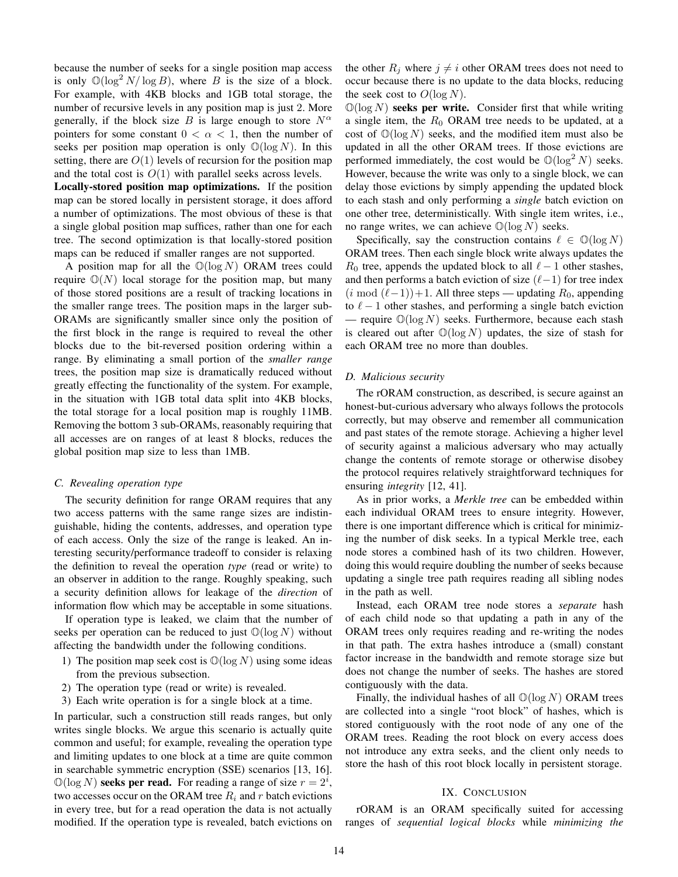because the number of seeks for a single position map access is only  $\mathbb{O}(\log^2 N / \log B)$ , where B is the size of a block. For example, with 4KB blocks and 1GB total storage, the number of recursive levels in any position map is just 2. More generally, if the block size B is large enough to store  $N^{\alpha}$ pointers for some constant  $0 < \alpha < 1$ , then the number of seeks per position map operation is only  $\mathbb{O}(\log N)$ . In this setting, there are  $O(1)$  levels of recursion for the position map and the total cost is  $O(1)$  with parallel seeks across levels.

Locally-stored position map optimizations. If the position map can be stored locally in persistent storage, it does afford a number of optimizations. The most obvious of these is that a single global position map suffices, rather than one for each tree. The second optimization is that locally-stored position maps can be reduced if smaller ranges are not supported.

A position map for all the  $\mathbb{O}(\log N)$  ORAM trees could require  $\mathbb{O}(N)$  local storage for the position map, but many of those stored positions are a result of tracking locations in the smaller range trees. The position maps in the larger sub-ORAMs are significantly smaller since only the position of the first block in the range is required to reveal the other blocks due to the bit-reversed position ordering within a range. By eliminating a small portion of the *smaller range* trees, the position map size is dramatically reduced without greatly effecting the functionality of the system. For example, in the situation with 1GB total data split into 4KB blocks, the total storage for a local position map is roughly 11MB. Removing the bottom 3 sub-ORAMs, reasonably requiring that all accesses are on ranges of at least 8 blocks, reduces the global position map size to less than 1MB.

#### *C. Revealing operation type*

The security definition for range ORAM requires that any two access patterns with the same range sizes are indistinguishable, hiding the contents, addresses, and operation type of each access. Only the size of the range is leaked. An interesting security/performance tradeoff to consider is relaxing the definition to reveal the operation *type* (read or write) to an observer in addition to the range. Roughly speaking, such a security definition allows for leakage of the *direction* of information flow which may be acceptable in some situations.

If operation type is leaked, we claim that the number of seeks per operation can be reduced to just  $\mathbb{O}(\log N)$  without affecting the bandwidth under the following conditions.

- 1) The position map seek cost is  $\mathbb{O}(\log N)$  using some ideas from the previous subsection.
- 2) The operation type (read or write) is revealed.
- 3) Each write operation is for a single block at a time.

In particular, such a construction still reads ranges, but only writes single blocks. We argue this scenario is actually quite common and useful; for example, revealing the operation type and limiting updates to one block at a time are quite common in searchable symmetric encryption (SSE) scenarios [13, 16].  $\mathbb{O}(\log N)$  seeks per read. For reading a range of size  $r = 2^i$ , two accesses occur on the ORAM tree  $R_i$  and r batch evictions in every tree, but for a read operation the data is not actually modified. If the operation type is revealed, batch evictions on the other  $R_i$  where  $j \neq i$  other ORAM trees does not need to occur because there is no update to the data blocks, reducing the seek cost to  $O(\log N)$ .

 $\mathbb{O}(\log N)$  seeks per write. Consider first that while writing a single item, the  $R_0$  ORAM tree needs to be updated, at a cost of  $\mathbb{O}(\log N)$  seeks, and the modified item must also be updated in all the other ORAM trees. If those evictions are performed immediately, the cost would be  $\mathbb{O}(\log^2 N)$  seeks. However, because the write was only to a single block, we can delay those evictions by simply appending the updated block to each stash and only performing a *single* batch eviction on one other tree, deterministically. With single item writes, i.e., no range writes, we can achieve  $\mathbb{O}(\log N)$  seeks.

Specifically, say the construction contains  $\ell \in \mathbb{O}(\log N)$ ORAM trees. Then each single block write always updates the  $R_0$  tree, appends the updated block to all  $\ell - 1$  other stashes, and then performs a batch eviction of size  $(\ell-1)$  for tree index  $(i \mod (\ell-1))+1$ . All three steps — updating  $R_0$ , appending to  $\ell - 1$  other stashes, and performing a single batch eviction — require  $\mathbb{O}(\log N)$  seeks. Furthermore, because each stash is cleared out after  $\mathbb{O}(\log N)$  updates, the size of stash for each ORAM tree no more than doubles.

## *D. Malicious security*

The rORAM construction, as described, is secure against an honest-but-curious adversary who always follows the protocols correctly, but may observe and remember all communication and past states of the remote storage. Achieving a higher level of security against a malicious adversary who may actually change the contents of remote storage or otherwise disobey the protocol requires relatively straightforward techniques for ensuring *integrity* [12, 41].

As in prior works, a *Merkle tree* can be embedded within each individual ORAM trees to ensure integrity. However, there is one important difference which is critical for minimizing the number of disk seeks. In a typical Merkle tree, each node stores a combined hash of its two children. However, doing this would require doubling the number of seeks because updating a single tree path requires reading all sibling nodes in the path as well.

Instead, each ORAM tree node stores a *separate* hash of each child node so that updating a path in any of the ORAM trees only requires reading and re-writing the nodes in that path. The extra hashes introduce a (small) constant factor increase in the bandwidth and remote storage size but does not change the number of seeks. The hashes are stored contiguously with the data.

Finally, the individual hashes of all  $\mathbb{O}(\log N)$  ORAM trees are collected into a single "root block" of hashes, which is stored contiguously with the root node of any one of the ORAM trees. Reading the root block on every access does not introduce any extra seeks, and the client only needs to store the hash of this root block locally in persistent storage.

## IX. CONCLUSION

rORAM is an ORAM specifically suited for accessing ranges of *sequential logical blocks* while *minimizing the*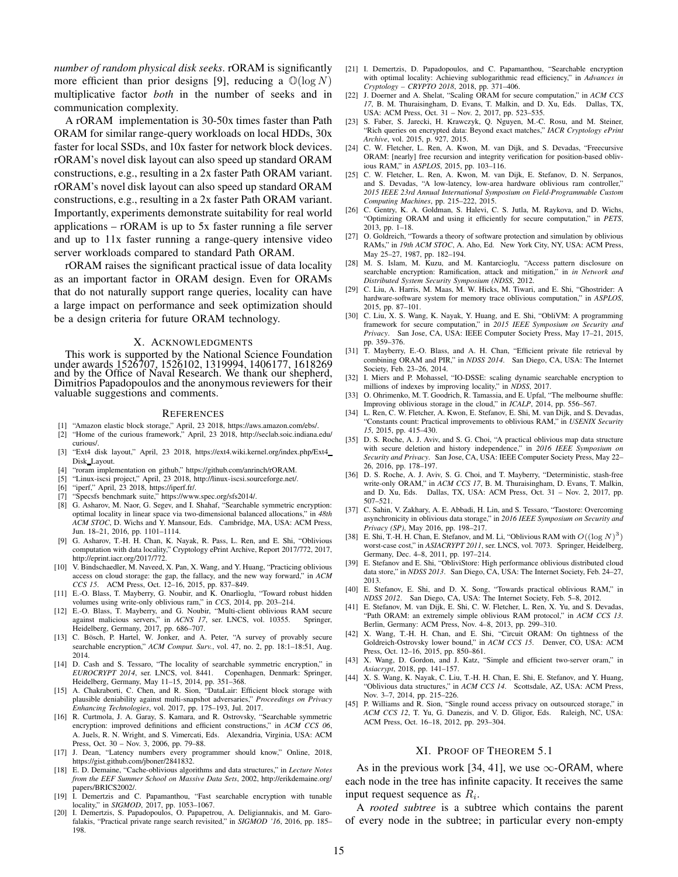*number of random physical disk seeks*. rORAM is significantly more efficient than prior designs [9], reducing a  $\mathbb{O}(\log N)$ multiplicative factor *both* in the number of seeks and in communication complexity.

A rORAM implementation is 30-50x times faster than Path ORAM for similar range-query workloads on local HDDs, 30x faster for local SSDs, and 10x faster for network block devices. rORAM's novel disk layout can also speed up standard ORAM constructions, e.g., resulting in a 2x faster Path ORAM variant. rORAM's novel disk layout can also speed up standard ORAM constructions, e.g., resulting in a 2x faster Path ORAM variant. Importantly, experiments demonstrate suitability for real world applications – rORAM is up to 5x faster running a file server and up to 11x faster running a range-query intensive video server workloads compared to standard Path ORAM.

rORAM raises the significant practical issue of data locality as an important factor in ORAM design. Even for ORAMs that do not naturally support range queries, locality can have a large impact on performance and seek optimization should be a design criteria for future ORAM technology.

#### X. ACKNOWLEDGMENTS

This work is supported by the National Science Foundation under awards 1526707, 1526102, 1319994, 1406177, 1618269 and by the Office of Naval Research. We thank our shepherd, Dimitrios Papadopoulos and the anonymous reviewers for their valuable suggestions and comments.

#### **REFERENCES**

- [1] "Amazon elastic block storage," April, 23 2018, https://aws.amazon.com/ebs/.
- [2] "Home of the curious framework," April, 23 2018, http://seclab.soic.indiana.edu/ curious/.
- [3] "Ext4 disk layout," April, 23 2018, https://ext4.wiki.kernel.org/index.php/Ext4 Disk Layout.
- [4] "roram implementation on github," https://github.com/anrinch/rORAM.
- "Linux-iscsi project," April, 23 2018, http://linux-iscsi.sourceforge.net/.
- [6] "iperf," April, 23 2018, https://iperf.fr/.
- [7] "Specsfs benchmark suite," https://www.spec.org/sfs2014/.
- [8] G. Asharov, M. Naor, G. Segev, and I. Shahaf, "Searchable symmetric encryption: optimal locality in linear space via two-dimensional balanced allocations," in *48th ACM STOC*, D. Wichs and Y. Mansour, Eds. Cambridge, MA, USA: ACM Press, Jun. 18–21, 2016, pp. 1101–1114.
- [9] G. Asharov, T.-H. H. Chan, K. Nayak, R. Pass, L. Ren, and E. Shi, "Oblivious computation with data locality," Cryptology ePrint Archive, Report 2017/772, 2017, http://eprint.iacr.org/2017/772.
- [10] V. Bindschaedler, M. Naveed, X. Pan, X. Wang, and Y. Huang, "Practicing oblivious access on cloud storage: the gap, the fallacy, and the new way forward," in *ACM CCS 15*. ACM Press, Oct. 12–16, 2015, pp. 837–849.
- [11] E.-O. Blass, T. Mayberry, G. Noubir, and K. Onarlioglu, "Toward robust hidden volumes using write-only oblivious ram," in *CCS*, 2014, pp. 203–214.
- [12] E.-O. Blass, T. Mayberry, and G. Noubir, "Multi-client oblivious RAM secure against malicious servers," in *ACNS 17*, ser. LNCS, vol. 10355. Heidelberg, Germany, 2017, pp. 686–707.
- [13] C. Bösch, P. Hartel, W. Jonker, and A. Peter, "A survey of provably secure searchable encryption," *ACM Comput. Surv.*, vol. 47, no. 2, pp. 18:1–18:51, Aug. 2014.
- [14] D. Cash and S. Tessaro, "The locality of searchable symmetric encryption," in *EUROCRYPT 2014*, ser. LNCS, vol. 8441. Copenhagen, Denmark: Springer, Heidelberg, Germany, May 11–15, 2014, pp. 351–368.
- [15] A. Chakraborti, C. Chen, and R. Sion, "DataLair: Efficient block storage with plausible deniability against multi-snapshot adversaries," *Proceedings on Privacy Enhancing Technologies*, vol. 2017, pp. 175–193, Jul. 2017.
- [16] R. Curtmola, J. A. Garay, S. Kamara, and R. Ostrovsky, "Searchable symmetric encryption: improved definitions and efficient constructions," in *ACM CCS 06*, A. Juels, R. N. Wright, and S. Vimercati, Eds. Alexandria, Virginia, USA: ACM Press, Oct. 30 – Nov. 3, 2006, pp. 79–88.
- [17] J. Dean, "Latency numbers every programmer should know," Online, 2018, https://gist.github.com/jboner/2841832.
- [18] E. D. Demaine, "Cache-oblivious algorithms and data structures," in *Lecture Notes from the EEF Summer School on Massive Data Sets*, 2002, http://erikdemaine.org/ papers/BRICS2002/.
- [19] I. Demertzis and C. Papamanthou, "Fast searchable encryption with tunable
- locality," in *SIGMOD*, 2017, pp. 1053-1067.<br>[20] I. Demertzis, S. Papadopoulos, O. Papapetrou, A. Deligiannakis, and M. Garofalakis, "Practical private range search revisited," in *SIGMOD '16*, 2016, pp. 185– 198.
- [21] I. Demertzis, D. Papadopoulos, and C. Papamanthou, "Searchable encryption with optimal locality: Achieving sublogarithmic read efficiency," in *Advances in Cryptology – CRYPTO 2018*, 2018, pp. 371–406.
- [22] J. Doerner and A. Shelat, "Scaling ORAM for secure computation," in *ACM CCS 17*, B. M. Thuraisingham, D. Evans, T. Malkin, and D. Xu, Eds. Dallas, TX, USA: ACM Press, Oct. 31 – Nov. 2, 2017, pp. 523–535.
- [23] S. Faber, S. Jarecki, H. Krawczyk, Q. Nguyen, M.-C. Rosu, and M. Steiner, "Rich queries on encrypted data: Beyond exact matches," *IACR Cryptology ePrint Archive*, vol. 2015, p. 927, 2015.
- [24] C. W. Fletcher, L. Ren, A. Kwon, M. van Dijk, and S. Devadas, "Freecursive ORAM: [nearly] free recursion and integrity verification for position-based oblivious RAM," in *ASPLOS*, 2015, pp. 103–116.
- [25] C. W. Fletcher, L. Ren, A. Kwon, M. van Dijk, E. Stefanov, D. N. Serpanos, and S. Devadas, "A low-latency, low-area hardware oblivious ram controller," *2015 IEEE 23rd Annual International Symposium on Field-Programmable Custom Computing Machines*, pp. 215–222, 2015.
- [26] C. Gentry, K. A. Goldman, S. Halevi, C. S. Jutla, M. Raykova, and D. Wichs, "Optimizing ORAM and using it efficiently for secure computation," in *PETS*, 2013, pp. 1–18.
- [27] O. Goldreich, "Towards a theory of software protection and simulation by oblivious RAMs," in *19th ACM STOC*, A. Aho, Ed. New York City, NY, USA: ACM Press, May 25–27, 1987, pp. 182–194.
- [28] M. S. Islam, M. Kuzu, and M. Kantarcioglu, "Access pattern disclosure on searchable encryption: Ramification, attack and mitigation," in *in Network and Distributed System Security Symposium (NDSS*, 2012.
- [29] C. Liu, A. Harris, M. Maas, M. W. Hicks, M. Tiwari, and E. Shi, "Ghostrider: A hardware-software system for memory trace oblivious computation," in *ASPLOS*, 2015, pp. 87–101.
- [30] C. Liu, X. S. Wang, K. Nayak, Y. Huang, and E. Shi, "ObliVM: A programming framework for secure computation," in *2015 IEEE Symposium on Security and* San Jose, CA, USA: IEEE Computer Society Press, May 17–21, 2015, pp. 359–376.
- [31] T. Mayberry, E.-O. Blass, and A. H. Chan, "Efficient private file retrieval by combining ORAM and PIR," in *NDSS 2014*. San Diego, CA, USA: The Internet Society, Feb. 23–26, 2014.
- [32] I. Miers and P. Mohassel, "IO-DSSE: scaling dynamic searchable encryption to millions of indexes by improving locality," in *NDSS*, 2017.
- [33] O. Ohrimenko, M. T. Goodrich, R. Tamassia, and E. Upfal, "The melbourne shuffle: Improving oblivious storage in the cloud," in *ICALP*, 2014, pp. 556–567. [34] L. Ren, C. W. Fletcher, A. Kwon, E. Stefanov, E. Shi, M. van Dijk, and S. Devadas,
- "Constants count: Practical improvements to oblivious RAM," in *USENIX Security 15*, 2015, pp. 415–430.
- [35] D. S. Roche, A. J. Aviv, and S. G. Choi, "A practical oblivious map data structure with secure deletion and history independence," in 2016 IEEE Symposium on *Security and Privacy*. San Jose, CA, USA: IEEE Computer Society Press, May 22– 26, 2016, pp. 178–197.
- [36] D. S. Roche, A. J. Aviv, S. G. Choi, and T. Mayberry, "Deterministic, stash-free write-only ORAM," in *ACM CCS 17*, B. M. Thuraisingham, D. Evans, T. Malkin, and D. Xu, Eds. Dallas, TX, USA: ACM Press, Oct. 31 – Nov. 2, 2017, pp. 507–521.
- [37] C. Sahin, V. Zakhary, A. E. Abbadi, H. Lin, and S. Tessaro, "Taostore: Overcoming asynchronicity in oblivious data storage," in *2016 IEEE Symposium on Security and Privacy (SP)*, May 2016, pp. 198–217.
- [38] E. Shi, T.-H. H. Chan, E. Stefanov, and M. Li, "Oblivious RAM with  $O((\log N)^3)$ worst-case cost," in *ASIACRYPT 2011*, ser. LNCS, vol. 7073. Springer, Heidelberg, Germany, Dec. 4–8, 2011, pp. 197–214.
- [39] E. Stefanov and E. Shi, "ObliviStore: High performance oblivious distributed cloud data store," in *NDSS 2013*. San Diego, CA, USA: The Internet Society, Feb. 24–27, 2013.
- [40] E. Stefanov, E. Shi, and D. X. Song, "Towards practical oblivious RAM," in *NDSS 2012*. San Diego, CA, USA: The Internet Society, Feb. 5–8, 2012.
- [41] E. Stefanov, M. van Dijk, E. Shi, C. W. Fletcher, L. Ren, X. Yu, and S. Devadas, "Path ORAM: an extremely simple oblivious RAM protocol," in *ACM CCS 13*. Berlin, Germany: ACM Press, Nov. 4–8, 2013, pp. 299–310.
- [42] X. Wang, T.-H. H. Chan, and E. Shi, "Circuit ORAM: On tightness of the Goldreich-Ostrovsky lower bound," in *ACM CCS 15*. Denver, CO, USA: ACM Press, Oct. 12–16, 2015, pp. 850–861.
- [43] X. Wang, D. Gordon, and J. Katz, "Simple and efficient two-server oram," in *Asiacrypt*, 2018, pp. 141–157.
- [44] X. S. Wang, K. Nayak, C. Liu, T.-H. H. Chan, E. Shi, E. Stefanov, and Y. Huang, "Oblivious data structures," in *ACM CCS 14*. Scottsdale, AZ, USA: ACM Press, Nov. 3–7, 2014, pp. 215–226.
- [45] P. Williams and R. Sion, "Single round access privacy on outsourced storage," in *ACM CCS 12*, T. Yu, G. Danezis, and V. D. Gligor, Eds. Raleigh, NC, USA: ACM Press, Oct. 16–18, 2012, pp. 293–304.

#### XI. PROOF OF THEOREM 5.1

As in the previous work [34, 41], we use  $\infty$ -ORAM, where each node in the tree has infinite capacity. It receives the same input request sequence as  $R_i$ .

A *rooted subtree* is a subtree which contains the parent of every node in the subtree; in particular every non-empty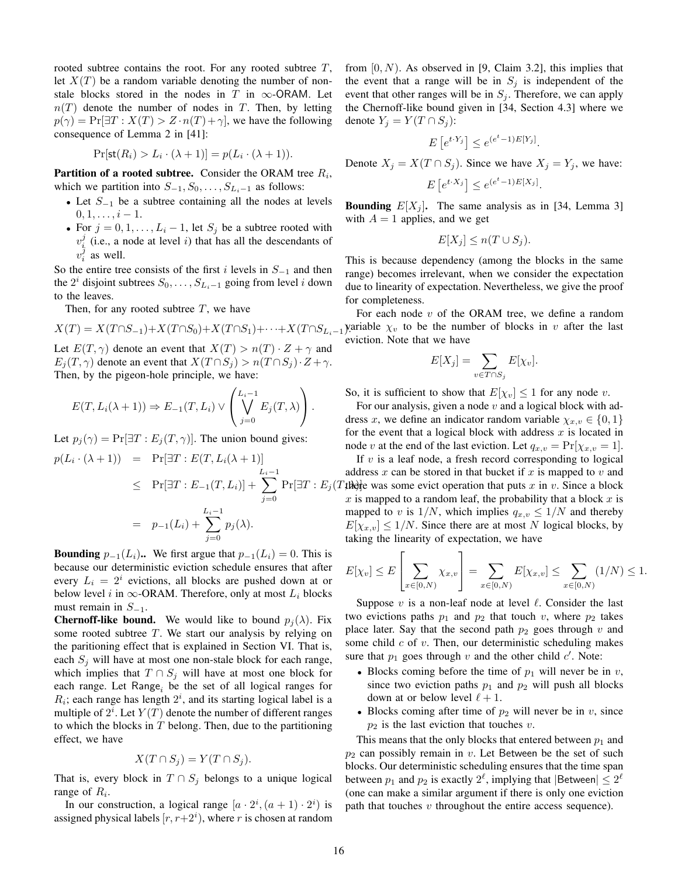rooted subtree contains the root. For any rooted subtree  $T$ , let  $X(T)$  be a random variable denoting the number of nonstale blocks stored in the nodes in T in  $\infty$ -ORAM. Let  $n(T)$  denote the number of nodes in T. Then, by letting  $p(\gamma) = \Pr[\exists T : X(T) > Z \cdot n(T) + \gamma]$ , we have the following consequence of Lemma 2 in [41]:

$$
\Pr[\mathsf{st}(R_i) > L_i \cdot (\lambda + 1)] = p(L_i \cdot (\lambda + 1)).
$$

**Partition of a rooted subtree.** Consider the ORAM tree  $R_i$ , which we partition into  $S_{-1}, S_0, \ldots, S_{L_i-1}$  as follows:

- Let  $S_{-1}$  be a subtree containing all the nodes at levels  $0, 1, \ldots, i-1.$
- For  $j = 0, 1, \ldots, L_i 1$ , let  $S_j$  be a subtree rooted with  $v_i^j$  (i.e., a node at level i) that has all the descendants of  $v_i^j$  as well.

So the entire tree consists of the first i levels in  $S_{-1}$  and then the  $2^i$  disjoint subtrees  $S_0, \ldots, S_{L_i-1}$  going from level i down to the leaves.

Then, for any rooted subtree  $T$ , we have

$$
X(T) = X(T \cap S_{-1}) + X(T \cap S_0) + X(T \cap S_1) + \dots + X(T \cap S_{L_i-1})
$$

Let  $E(T, \gamma)$  denote an event that  $X(T) > n(T) \cdot Z + \gamma$  and  $E_j(T, \gamma)$  denote an event that  $X(T \cap S_j) > n(T \cap S_j) \cdot Z + \gamma$ . Then, by the pigeon-hole principle, we have:

$$
E(T, L_i(\lambda + 1)) \Rightarrow E_{-1}(T, L_i) \vee \left(\bigvee_{j=0}^{L_i-1} E_j(T, \lambda)\right).
$$

Let  $p_i(\gamma) = \Pr[\exists T : E_j(T, \gamma)]$ . The union bound gives:

$$
p(L_i \cdot (\lambda + 1)) = \Pr[\exists T : E(T, L_i(\lambda + 1)]
$$
  
\n
$$
\leq \Pr[\exists T : E_{-1}(T, L_i)] + \sum_{j=0}^{L_i - 1} \Pr[\exists T : E_j(\mathbf{X})]
$$
  
\n
$$
= p_{-1}(L_i) + \sum_{j=0}^{L_i - 1} p_j(\lambda).
$$

**Bounding**  $p_{-1}(L_i)$ .. We first argue that  $p_{-1}(L_i) = 0$ . This is because our deterministic eviction schedule ensures that after every  $L_i = 2^i$  evictions, all blocks are pushed down at or below level i in  $\infty$ -ORAM. Therefore, only at most  $L_i$  blocks must remain in  $S_{-1}$ .

**Chernoff-like bound.** We would like to bound  $p_i(\lambda)$ . Fix some rooted subtree  $T$ . We start our analysis by relying on the paritioning effect that is explained in Section VI. That is, each  $S_j$  will have at most one non-stale block for each range, which implies that  $T \cap S_j$  will have at most one block for each range. Let  $Range_i$  be the set of all logical ranges for  $R_i$ ; each range has length  $2^i$ , and its starting logical label is a multiple of  $2^i$ . Let  $Y(T)$  denote the number of different ranges to which the blocks in  $T$  belong. Then, due to the partitioning effect, we have

$$
X(T \cap S_j) = Y(T \cap S_j).
$$

That is, every block in  $T \cap S_j$  belongs to a unique logical range of  $R_i$ .

In our construction, a logical range  $[a \cdot 2^i, (a+1) \cdot 2^i)$  is assigned physical labels  $[r, r+2^i)$ , where r is chosen at random from  $[0, N)$ . As observed in [9, Claim 3.2], this implies that the event that a range will be in  $S_i$  is independent of the event that other ranges will be in  $S_j$ . Therefore, we can apply the Chernoff-like bound given in [34, Section 4.3] where we denote  $Y_j = Y(T \cap S_j)$ :

$$
E\left[e^{t \cdot Y_j}\right] \le e^{(e^t - 1)E[Y_j]}.
$$

Denote  $X_j = X(T \cap S_j)$ . Since we have  $X_j = Y_j$ , we have:

$$
E\left[e^{t\cdot X_j}\right] \le e^{(e^t-1)E[X_j]}.
$$

**Bounding**  $E[X_i]$ . The same analysis as in [34, Lemma 3] with  $A = 1$  applies, and we get

$$
E[X_j] \le n(T \cup S_j).
$$

This is because dependency (among the blocks in the same range) becomes irrelevant, when we consider the expectation due to linearity of expectation. Nevertheless, we give the proof for completeness.

For each node  $v$  of the ORAM tree, we define a random yariable  $\chi_v$  to be the number of blocks in v after the last eviction. Note that we have

$$
E[X_j] = \sum_{v \in T \cap S_j} E[\chi_v].
$$

So, it is sufficient to show that  $E[\chi_v] \leq 1$  for any node v.

For our analysis, given a node  $v$  and a logical block with address x, we define an indicator random variable  $\chi_{x,v} \in \{0,1\}$ for the event that a logical block with address  $x$  is located in node v at the end of the last eviction. Let  $q_{x,y} = \Pr[\chi_{x,y} = 1].$ 

 $Pr[\exists T : E_j(T, \mathbf{t})]$  was some evict operation that puts x in v. Since a block If  $v$  is a leaf node, a fresh record corresponding to logical address x can be stored in that bucket if x is mapped to v and  $x$  is mapped to a random leaf, the probability that a block  $x$  is mapped to v is  $1/N$ , which implies  $q_{x,y} \leq 1/N$  and thereby  $E[\chi_{x,y}] \leq 1/N$ . Since there are at most N logical blocks, by taking the linearity of expectation, we have

$$
E[\chi_v] \le E\left[\sum_{x \in [0,N)} \chi_{x,v}\right] = \sum_{x \in [0,N)} E[\chi_{x,v}] \le \sum_{x \in [0,N)} (1/N) \le 1.
$$

Suppose  $v$  is a non-leaf node at level  $\ell$ . Consider the last two evictions paths  $p_1$  and  $p_2$  that touch v, where  $p_2$  takes place later. Say that the second path  $p_2$  goes through v and some child  $c$  of  $v$ . Then, our deterministic scheduling makes sure that  $p_1$  goes through v and the other child  $c'$ . Note:

- Blocks coming before the time of  $p_1$  will never be in v, since two eviction paths  $p_1$  and  $p_2$  will push all blocks down at or below level  $\ell + 1$ .
- Blocks coming after time of  $p_2$  will never be in v, since  $p_2$  is the last eviction that touches v.

This means that the only blocks that entered between  $p_1$  and  $p_2$  can possibly remain in v. Let Between be the set of such blocks. Our deterministic scheduling ensures that the time span between  $p_1$  and  $p_2$  is exactly  $2^{\ell}$ , implying that  $|\text{Between}| \leq 2^{\ell}$ (one can make a similar argument if there is only one eviction path that touches  $v$  throughout the entire access sequence).